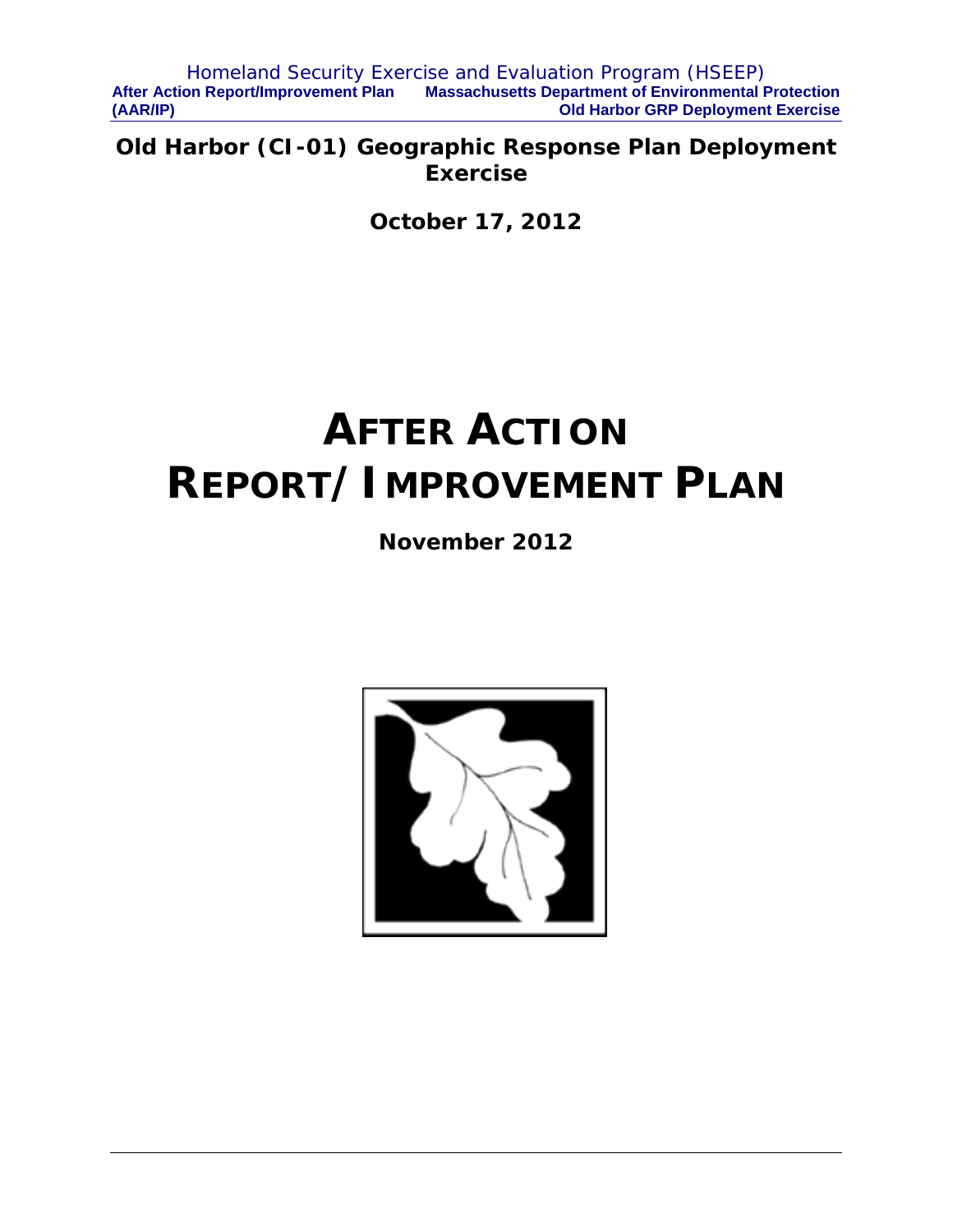Homeland Security Exercise and Evaluation Program (HSEEP)<br>After Action Report/Improvement Plan Massachusetts Department of Environmental I **After Action Report/Improvement Plan Massachusetts Department of Environmental Protection (AAR/IP) Old Harbor GRP Deployment Exercise**

**Old Harbor (CI-01) Geographic Response Plan Deployment Exercise**

**October 17, 2012**

# **AFTER ACTION REPORT/IMPROVEMENT PLAN**

**November 2012**

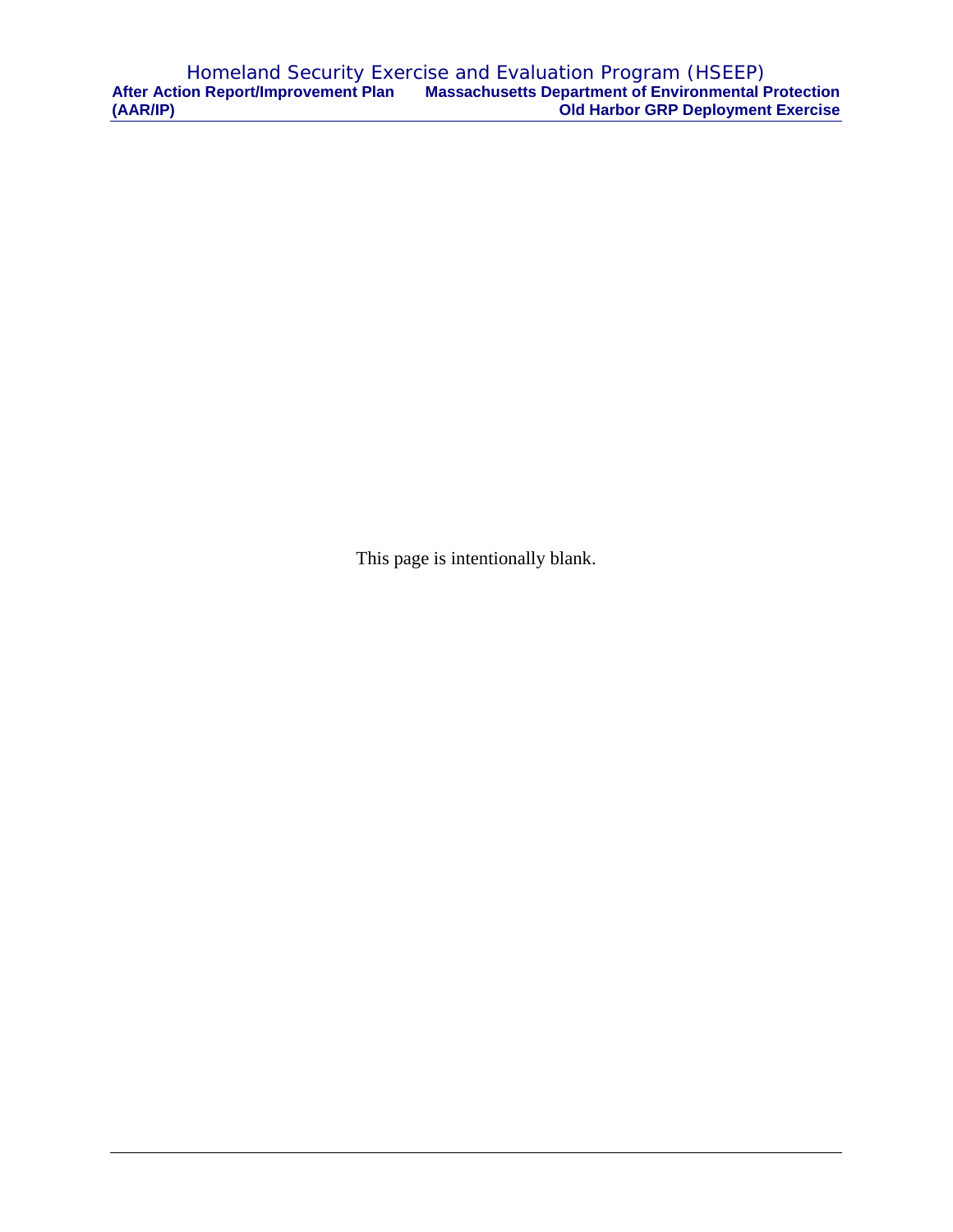This page is intentionally blank.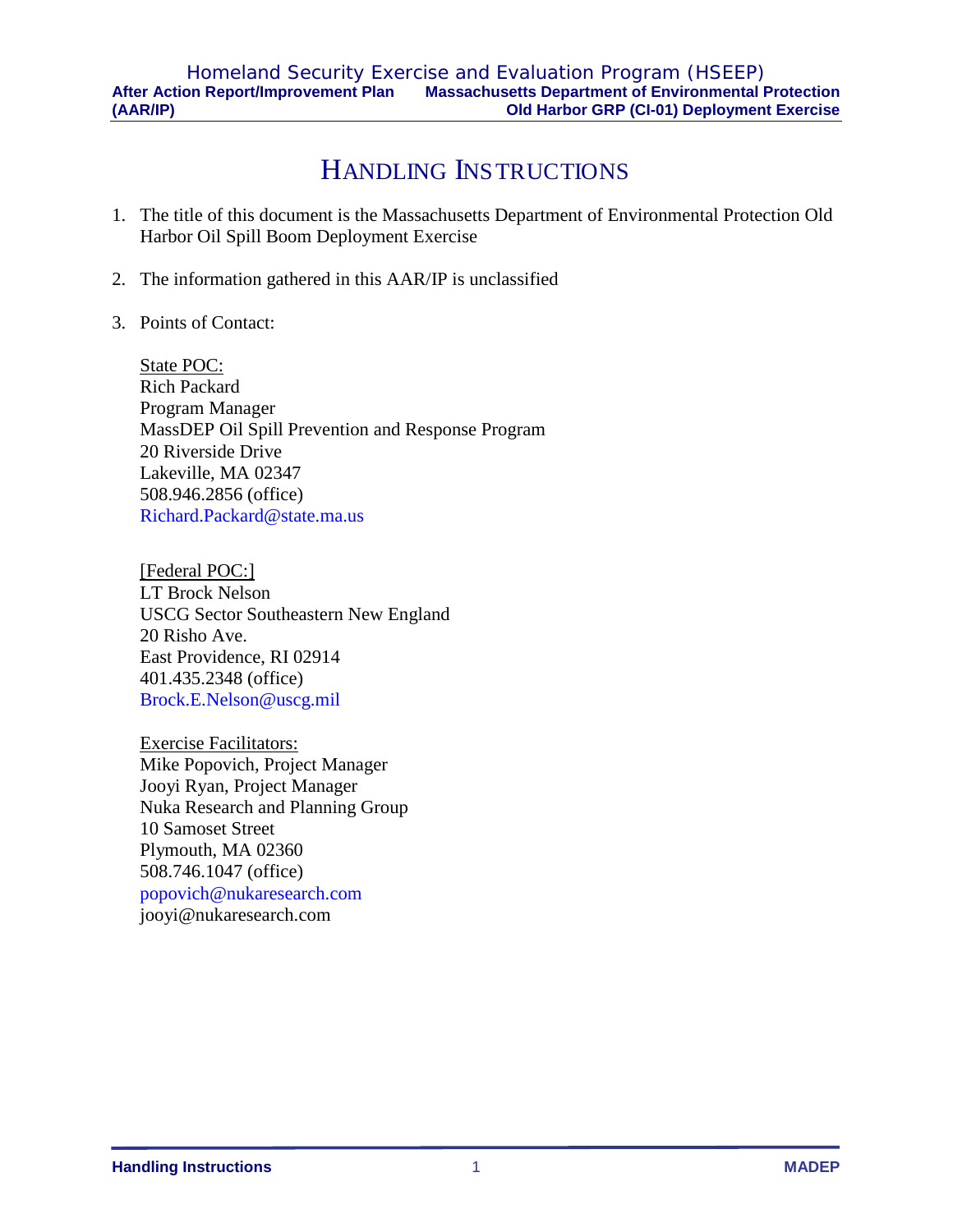### HANDLING INSTRUCTIONS

- 1. The title of this document is the Massachusetts Department of Environmental Protection Old Harbor Oil Spill Boom Deployment Exercise
- 2. The information gathered in this AAR/IP is unclassified
- 3. Points of Contact:

Rich Packard Program Manager MassDEP Oil Spill Prevention and Response Program 20 Riverside Drive State POC: Lakeville, MA 02347 508.946.2856 (office) [Richard.Packard@state.ma.us](mailto:Richard.Packard@state.ma.us)

LT Brock Nelson USCG Sector Southeastern New England 20 Risho Ave. East Providence, RI 02914 401.435.2348 (office) [Federal POC:] [Brock.E.Nelson@uscg.mil](mailto:Brock.E.Nelson@uscg.mil)

Mike Popovich, Project Manager Jooyi Ryan, Project Manager Nuka Research and Planning Group 10 Samoset Street Plymouth, MA 02360 508.746.1047 (office) Exercise Facilitators: [popovich@nukaresearch.com](mailto:popovich@nukaresearch.com) jooyi@nukaresearch.com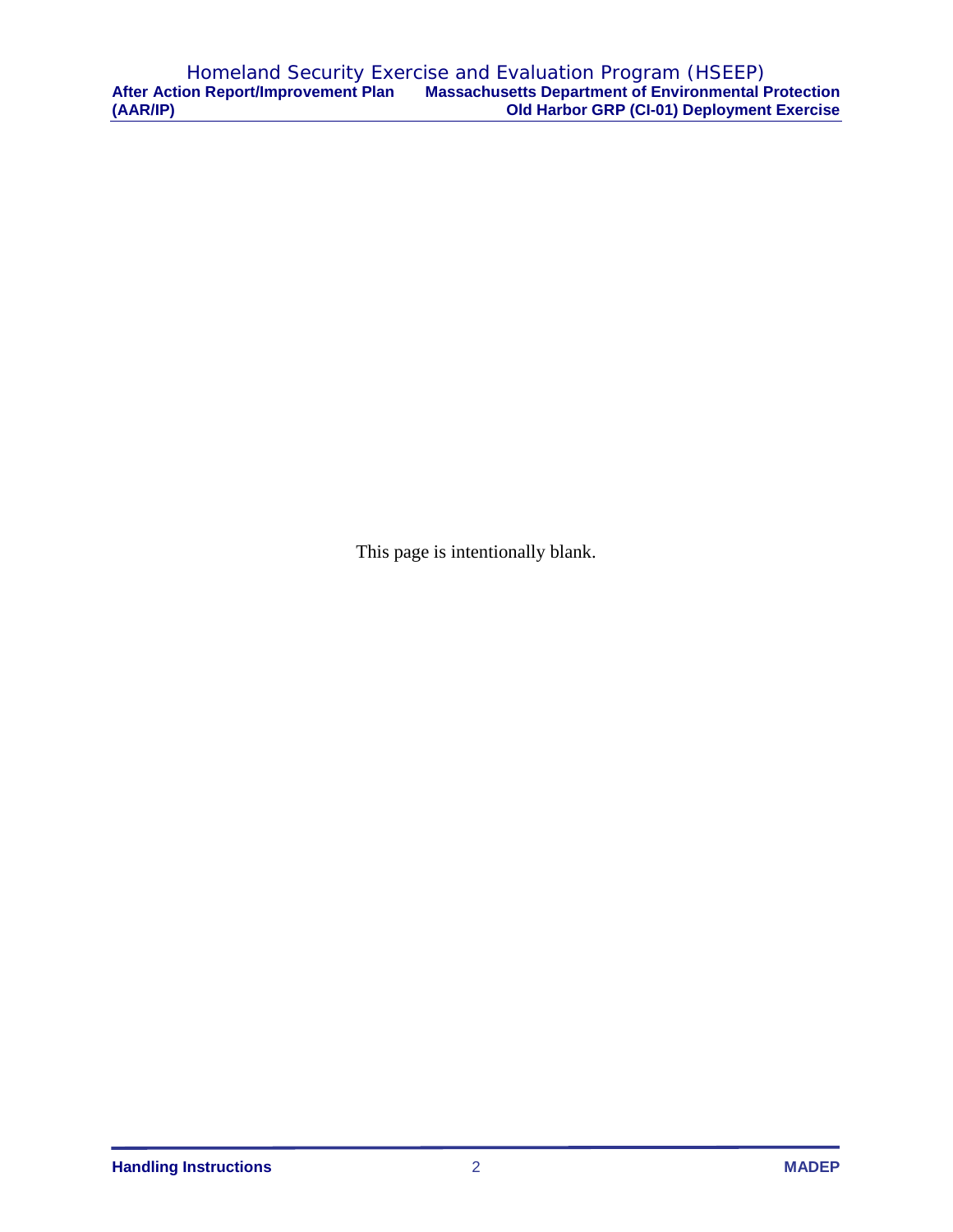This page is intentionally blank.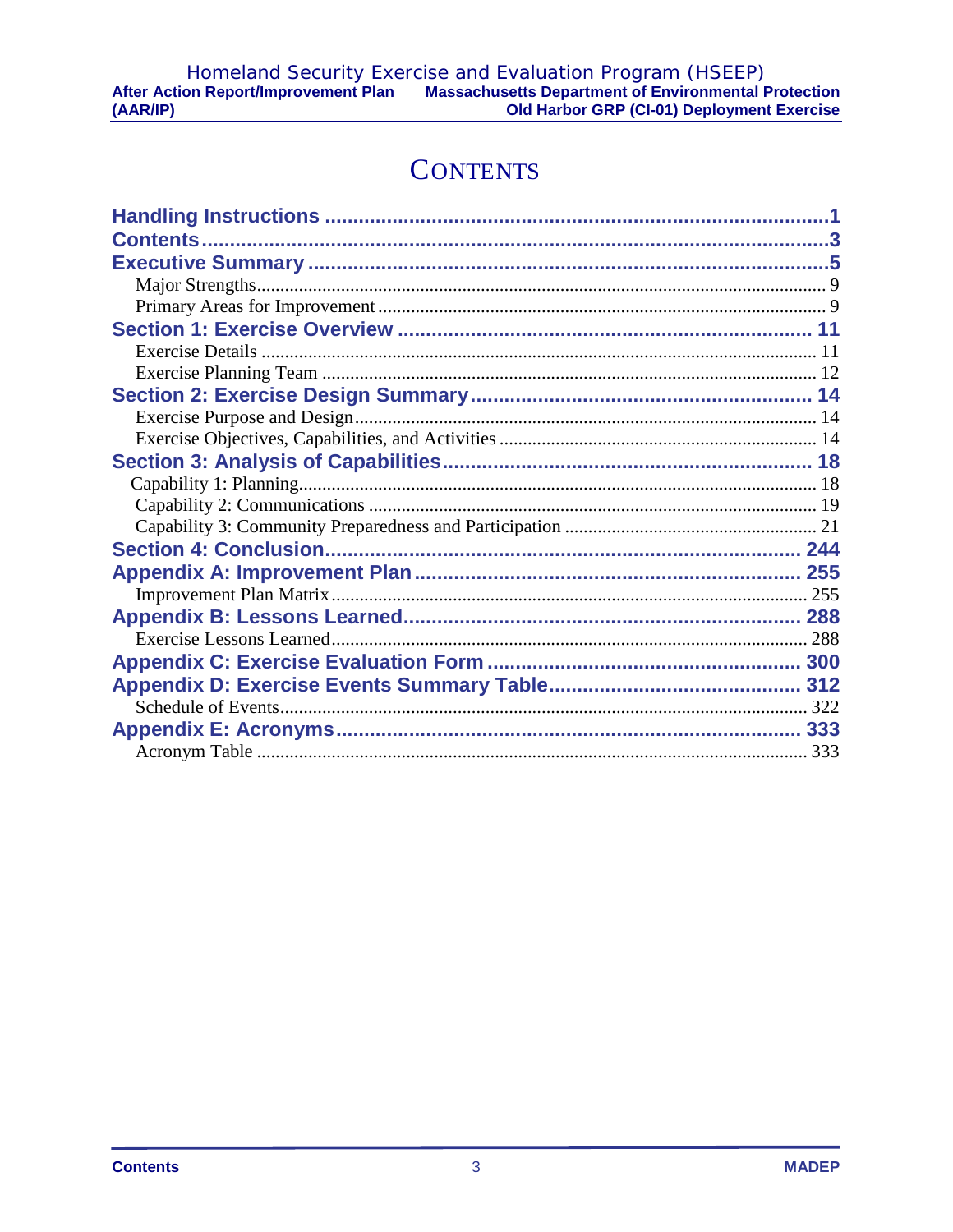### **CONTENTS**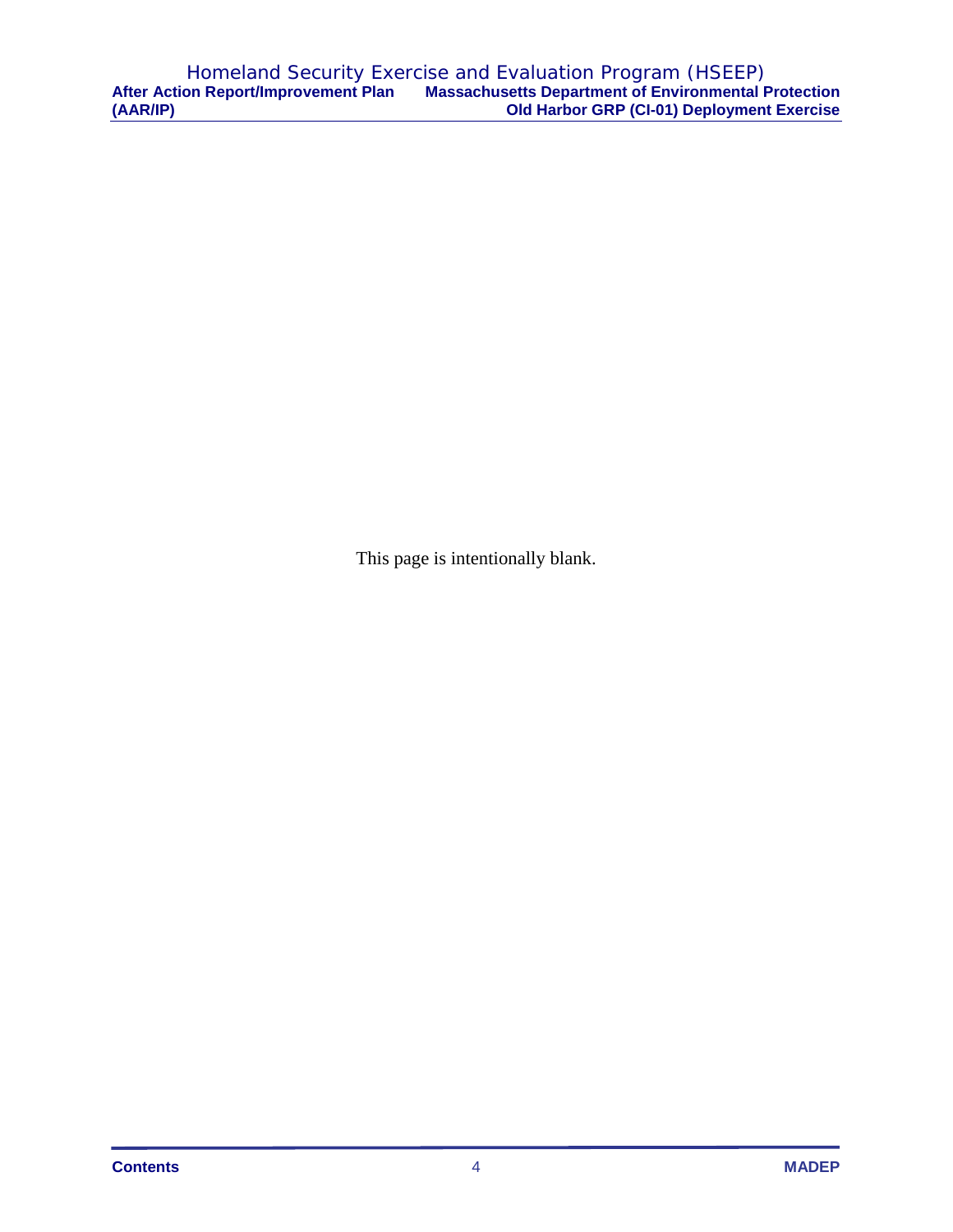This page is intentionally blank.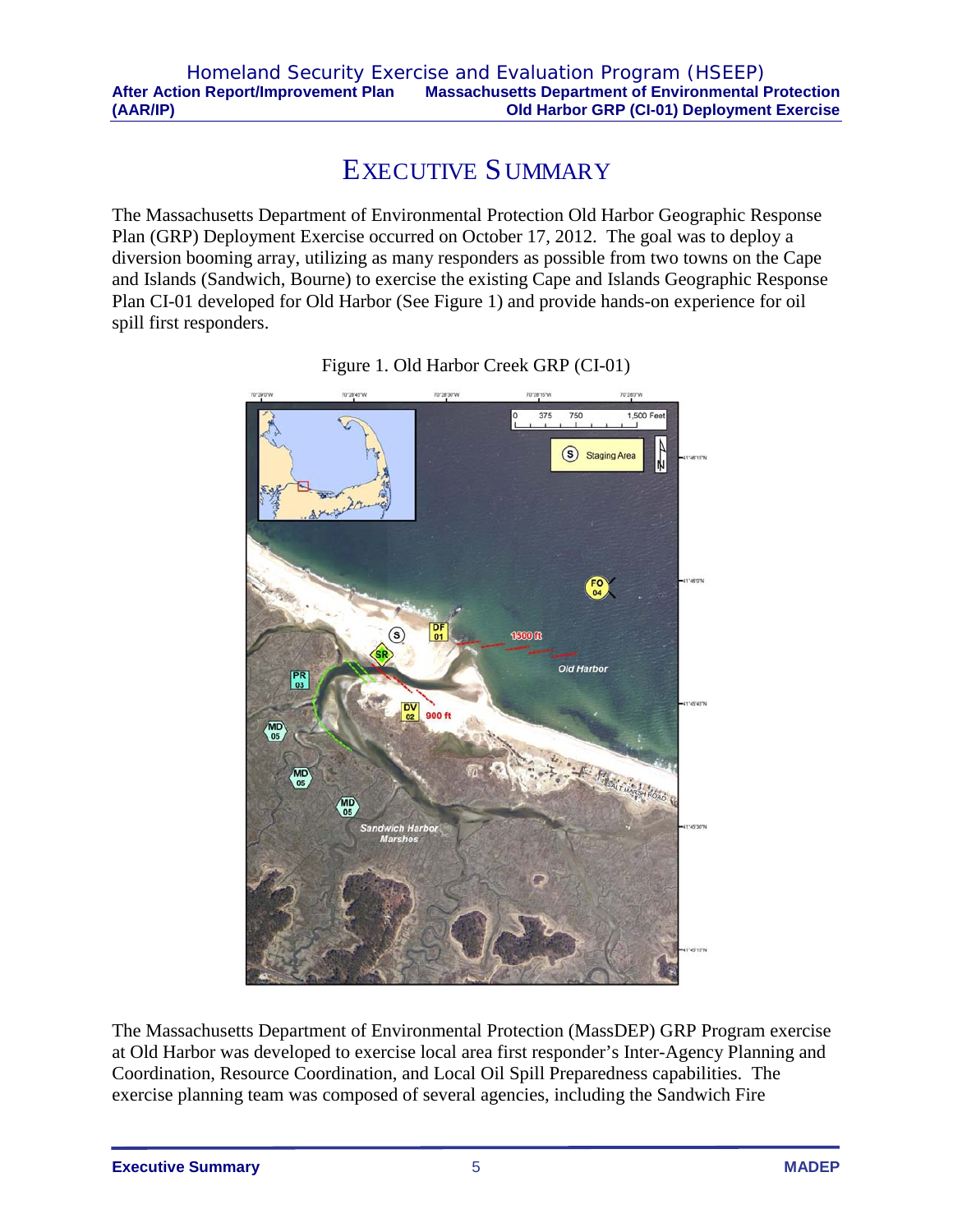### EXECUTIVE SUMMARY

The Massachusetts Department of Environmental Protection Old Harbor Geographic Response Plan (GRP) Deployment Exercise occurred on October 17, 2012. The goal was to deploy a diversion booming array, utilizing as many responders as possible from two towns on the Cape and Islands (Sandwich, Bourne) to exercise the existing Cape and Islands Geographic Response Plan CI-01 developed for Old Harbor (See Figure 1) and provide hands-on experience for oil spill first responders.





The Massachusetts Department of Environmental Protection (MassDEP) GRP Program exercise at Old Harbor was developed to exercise local area first responder's Inter-Agency Planning and Coordination, Resource Coordination, and Local Oil Spill Preparedness capabilities. The exercise planning team was composed of several agencies, including the Sandwich Fire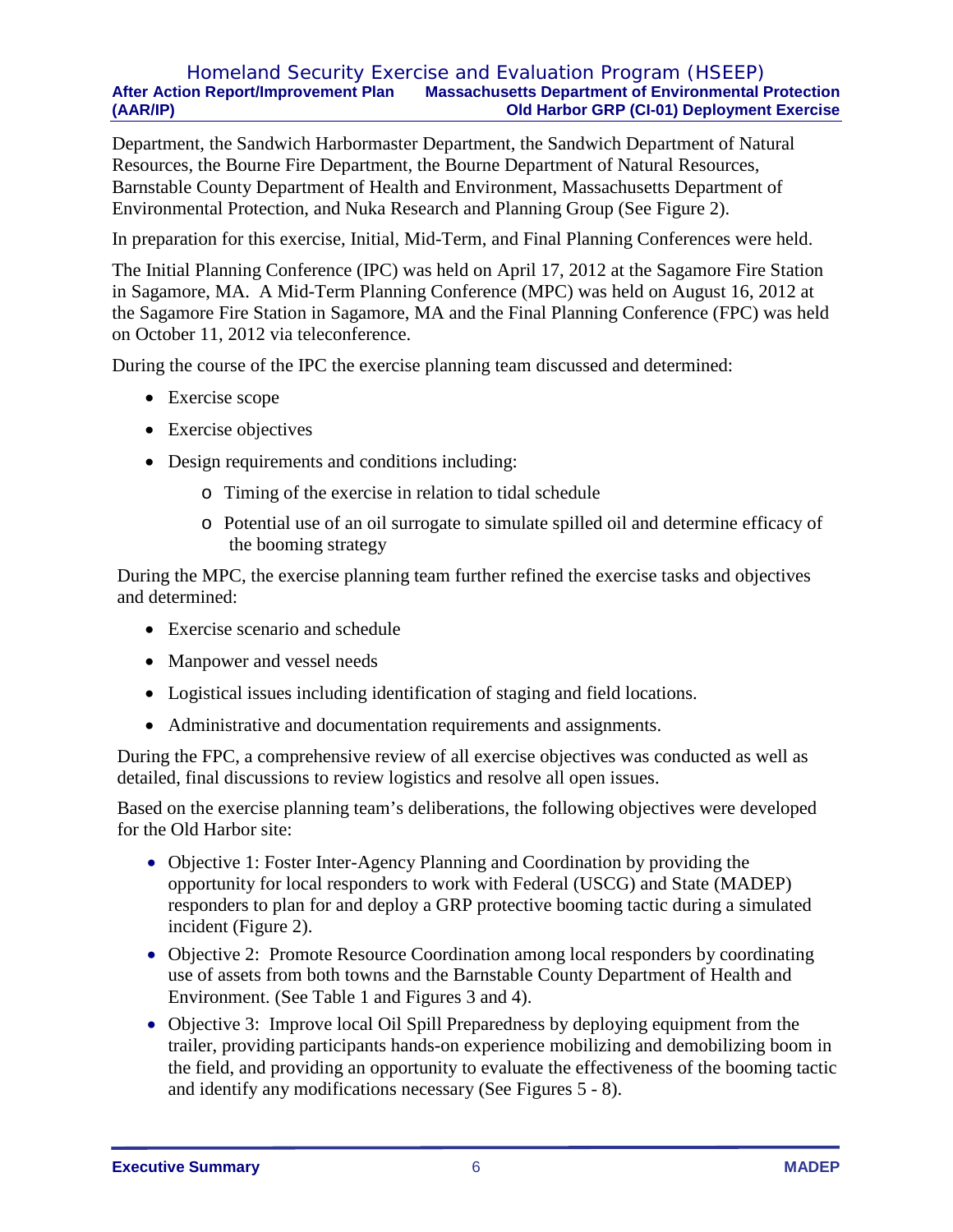#### Homeland Security Exercise and Evaluation Program (HSEEP) **After Action Report/Improvement Plan Massachusetts Department of Environmental Protection (AAR/IP) Old Harbor GRP (CI-01) Deployment Exercise**

Department, the Sandwich Harbormaster Department, the Sandwich Department of Natural Resources, the Bourne Fire Department, the Bourne Department of Natural Resources, Barnstable County Department of Health and Environment, Massachusetts Department of Environmental Protection, and Nuka Research and Planning Group (See Figure 2).

In preparation for this exercise, Initial, Mid-Term, and Final Planning Conferences were held.

The Initial Planning Conference (IPC) was held on April 17, 2012 at the Sagamore Fire Station in Sagamore, MA. A Mid-Term Planning Conference (MPC) was held on August 16, 2012 at the Sagamore Fire Station in Sagamore, MA and the Final Planning Conference (FPC) was held on October 11, 2012 via teleconference.

During the course of the IPC the exercise planning team discussed and determined:

- Exercise scope
- Exercise objectives
- Design requirements and conditions including:
	- o Timing of the exercise in relation to tidal schedule
	- o Potential use of an oil surrogate to simulate spilled oil and determine efficacy of the booming strategy

During the MPC, the exercise planning team further refined the exercise tasks and objectives and determined:

- Exercise scenario and schedule
- Manpower and vessel needs
- Logistical issues including identification of staging and field locations.
- Administrative and documentation requirements and assignments.

During the FPC, a comprehensive review of all exercise objectives was conducted as well as detailed, final discussions to review logistics and resolve all open issues.

Based on the exercise planning team's deliberations, the following objectives were developed for the Old Harbor site:

- Objective 1: Foster Inter-Agency Planning and Coordination by providing the opportunity for local responders to work with Federal (USCG) and State (MADEP) responders to plan for and deploy a GRP protective booming tactic during a simulated incident (Figure 2).
- Objective 2: Promote Resource Coordination among local responders by coordinating use of assets from both towns and the Barnstable County Department of Health and Environment. (See Table 1 and Figures 3 and 4).
- Objective 3: Improve local Oil Spill Preparedness by deploying equipment from the trailer, providing participants hands-on experience mobilizing and demobilizing boom in the field, and providing an opportunity to evaluate the effectiveness of the booming tactic and identify any modifications necessary (See Figures 5 - 8).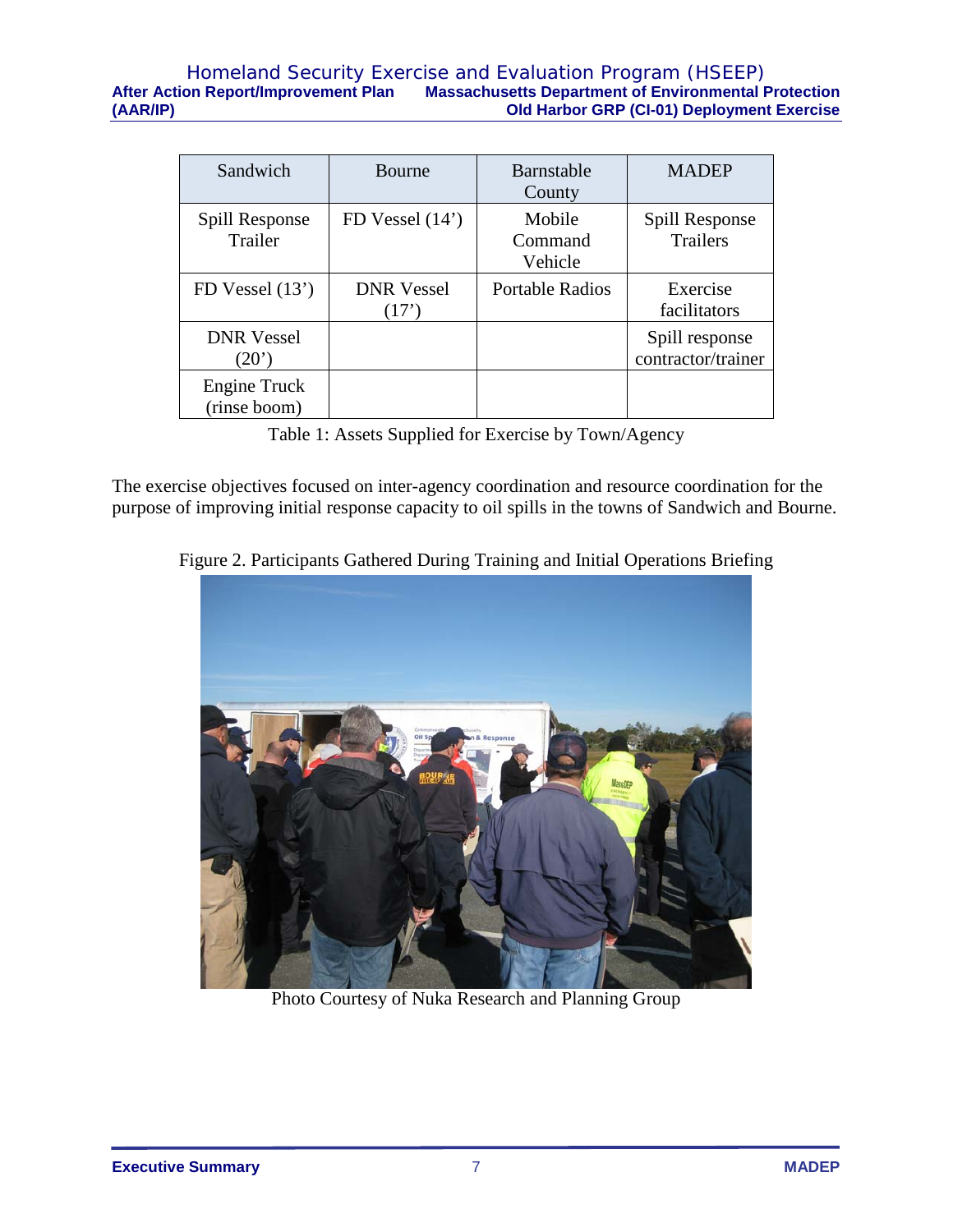#### Homeland Security Exercise and Evaluation Program (HSEEP) **After Action Report/Improvement Plan Massachusetts Department of Environmental Protection (AAR/IP) Old Harbor GRP (CI-01) Deployment Exercise**

| Sandwich                     | <b>Bourne</b>             | Barnstable<br>County         | <b>MADEP</b>                         |
|------------------------------|---------------------------|------------------------------|--------------------------------------|
| Spill Response<br>Trailer    | FD Vessel $(14')$         | Mobile<br>Command<br>Vehicle | Spill Response<br><b>Trailers</b>    |
| FD Vessel $(13')$            | <b>DNR Vessel</b><br>(17) | <b>Portable Radios</b>       | Exercise<br>facilitators             |
| <b>DNR Vessel</b><br>(20)    |                           |                              | Spill response<br>contractor/trainer |
| Engine Truck<br>(rinse boom) |                           |                              |                                      |

|  |  | Table 1: Assets Supplied for Exercise by Town/Agency |  |  |
|--|--|------------------------------------------------------|--|--|
|  |  |                                                      |  |  |

The exercise objectives focused on inter-agency coordination and resource coordination for the purpose of improving initial response capacity to oil spills in the towns of Sandwich and Bourne.



Figure 2. Participants Gathered During Training and Initial Operations Briefing

Photo Courtesy of Nuka Research and Planning Group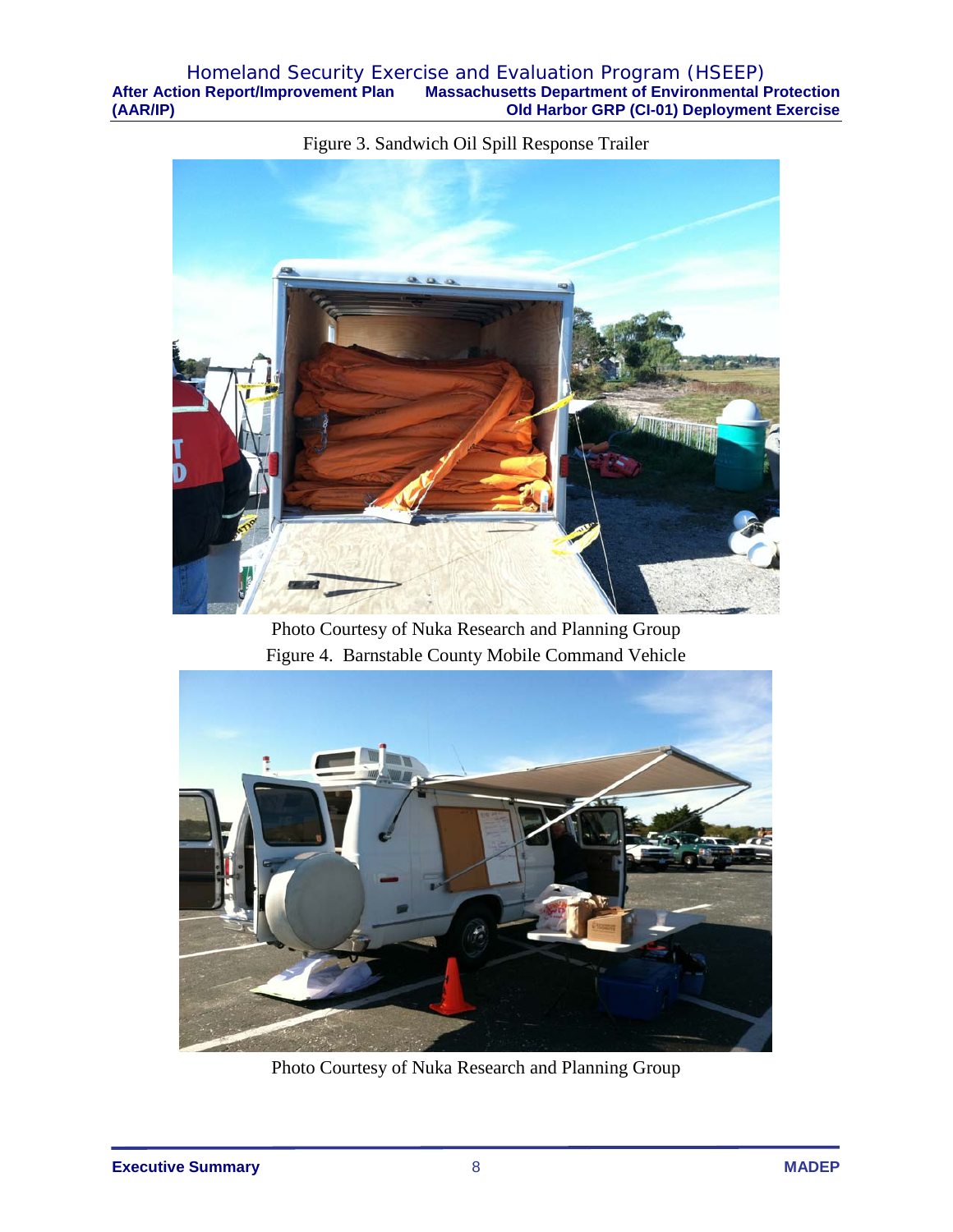Homeland Security Exercise and Evaluation Program (HSEEP)<br>After Action Report/Improvement Plan Massachusetts Department of Environmental F **After Action Report/Improvement Plan Massachusetts Department of Environmental Protection (AAR/IP) Old Harbor GRP (CI-01) Deployment Exercise**



Figure 3. Sandwich Oil Spill Response Trailer

Photo Courtesy of Nuka Research and Planning Group Figure 4. Barnstable County Mobile Command Vehicle



Photo Courtesy of Nuka Research and Planning Group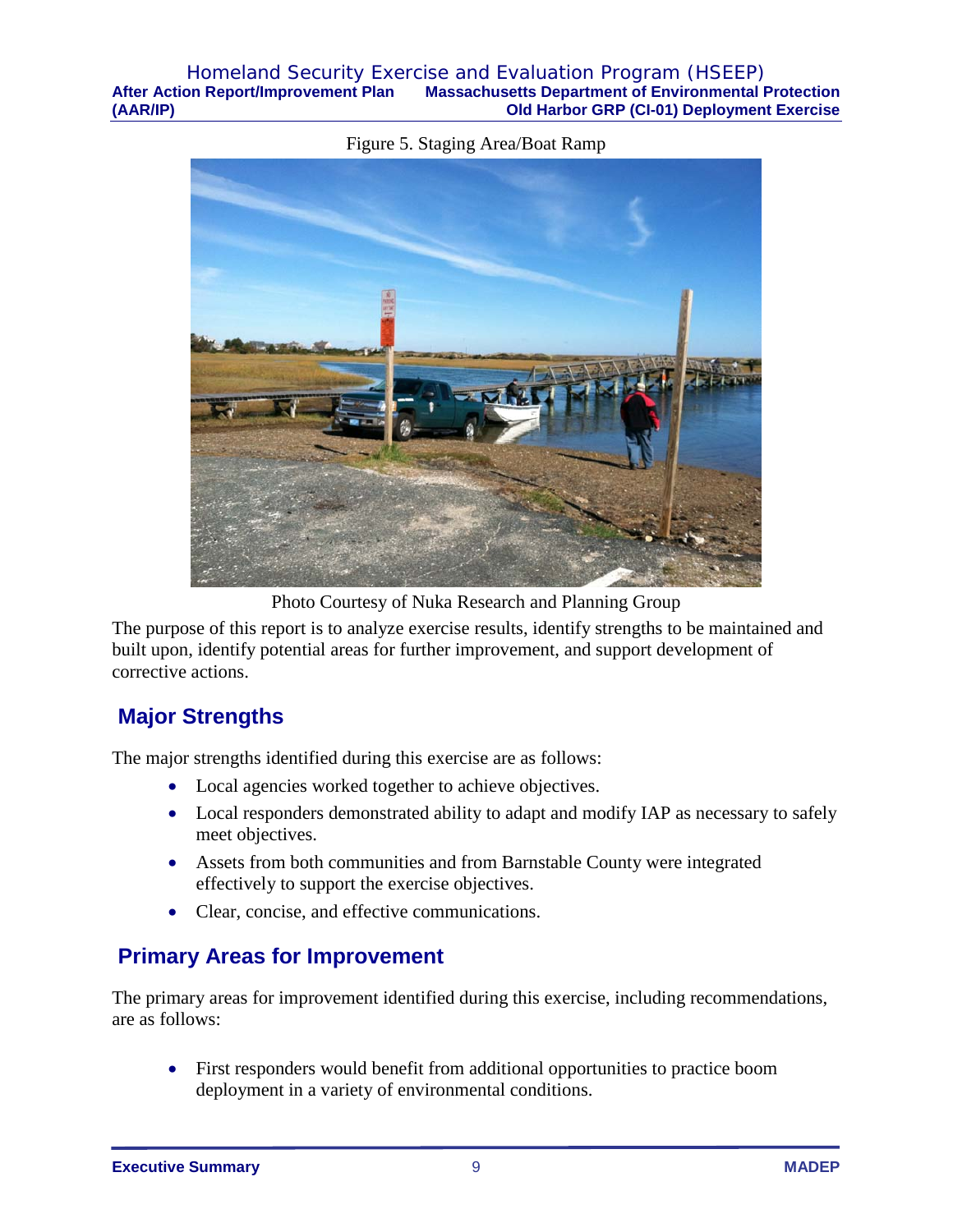Homeland Security Exercise and Evaluation Program (HSEEP) **After Action Report/Improvement Plan Massachusetts Department of Environmental Protection (AAR/IP) Old Harbor GRP (CI-01) Deployment Exercise**



Figure 5. Staging Area/Boat Ramp

Photo Courtesy of Nuka Research and Planning Group

The purpose of this report is to analyze exercise results, identify strengths to be maintained and built upon, identify potential areas for further improvement, and support development of corrective actions.

### **Major Strengths**

The major strengths identified during this exercise are as follows:

- Local agencies worked together to achieve objectives.
- Local responders demonstrated ability to adapt and modify IAP as necessary to safely meet objectives.
- Assets from both communities and from Barnstable County were integrated effectively to support the exercise objectives.
- Clear, concise, and effective communications.

### **Primary Areas for Improvement**

The primary areas for improvement identified during this exercise, including recommendations, are as follows:

• First responders would benefit from additional opportunities to practice boom deployment in a variety of environmental conditions.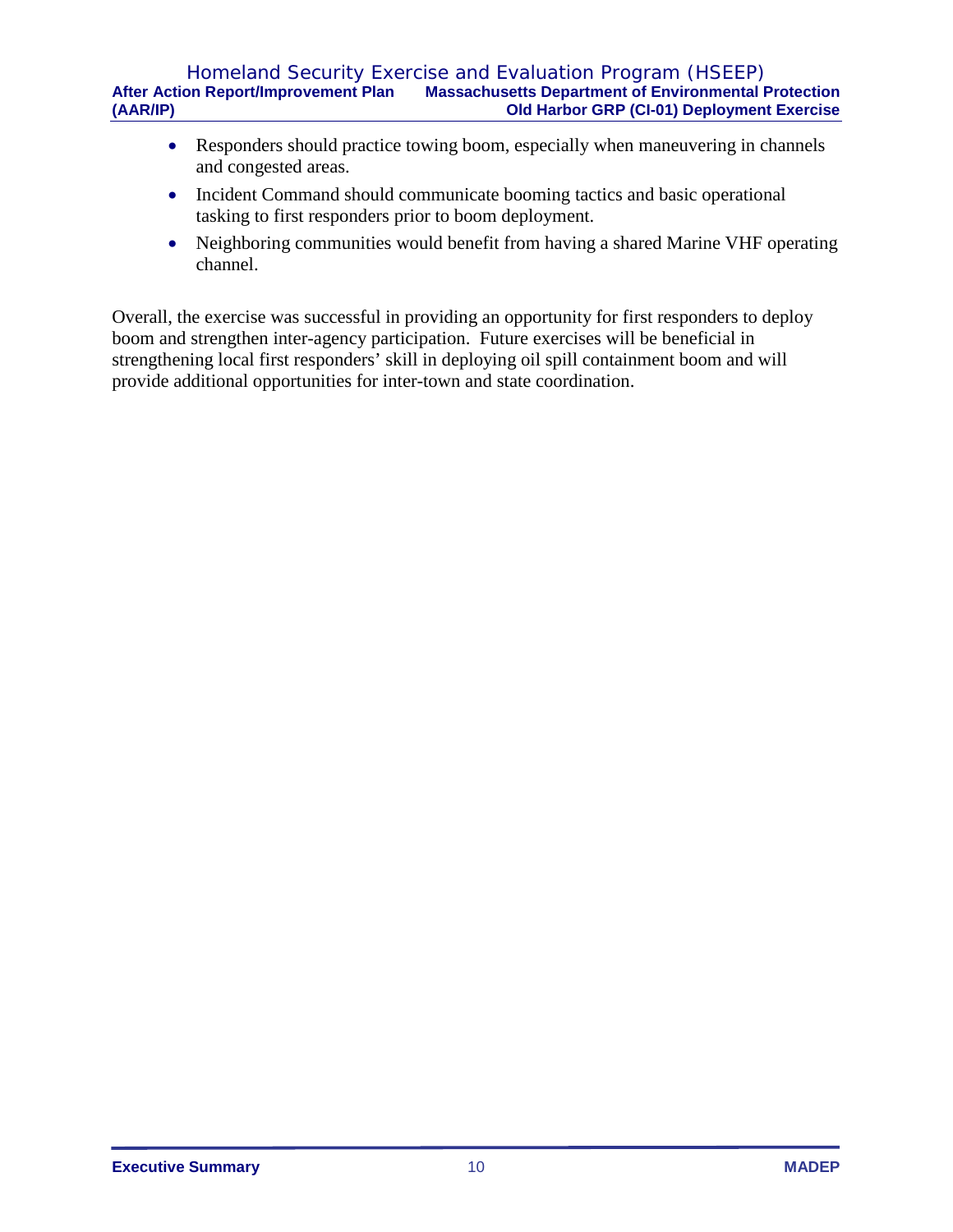- Responders should practice towing boom, especially when maneuvering in channels and congested areas.
- Incident Command should communicate booming tactics and basic operational tasking to first responders prior to boom deployment.
- Neighboring communities would benefit from having a shared Marine VHF operating channel.

Overall, the exercise was successful in providing an opportunity for first responders to deploy boom and strengthen inter-agency participation. Future exercises will be beneficial in strengthening local first responders' skill in deploying oil spill containment boom and will provide additional opportunities for inter-town and state coordination.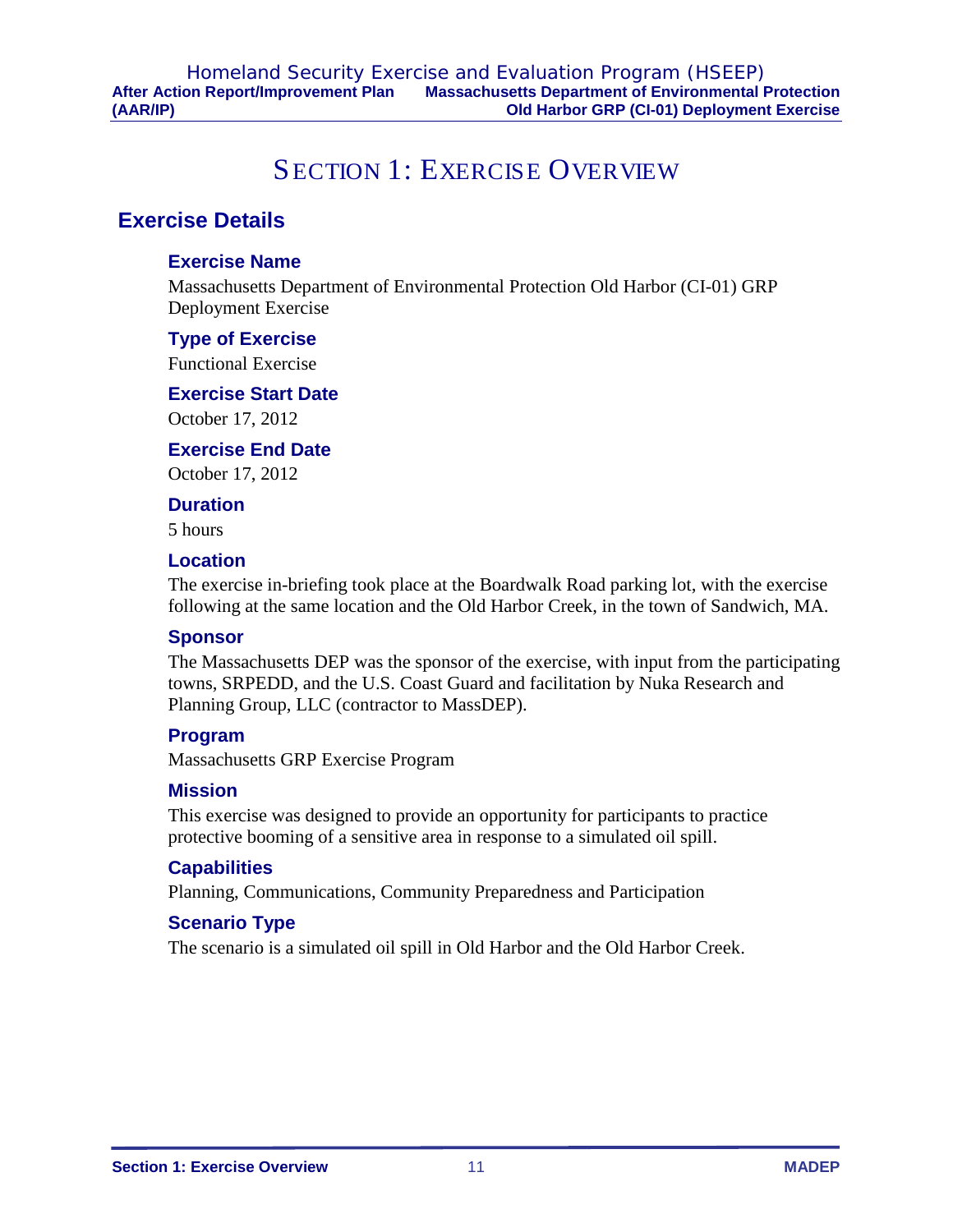### SECTION 1: EXERCISE OVERVIEW

### **Exercise Details**

#### **Exercise Name**

Massachusetts Department of Environmental Protection Old Harbor (CI-01) GRP Deployment Exercise

#### **Type of Exercise**

Functional Exercise

**Exercise Start Date** October 17, 2012

**Exercise End Date**

October 17, 2012

#### **Duration**

5 hours

#### **Location**

The exercise in-briefing took place at the Boardwalk Road parking lot, with the exercise following at the same location and the Old Harbor Creek, in the town of Sandwich, MA.

#### **Sponsor**

The Massachusetts DEP was the sponsor of the exercise, with input from the participating towns, SRPEDD, and the U.S. Coast Guard and facilitation by Nuka Research and Planning Group, LLC (contractor to MassDEP).

#### **Program**

Massachusetts GRP Exercise Program

#### **Mission**

This exercise was designed to provide an opportunity for participants to practice protective booming of a sensitive area in response to a simulated oil spill.

#### **Capabilities**

Planning, Communications, Community Preparedness and Participation

#### **Scenario Type**

The scenario is a simulated oil spill in Old Harbor and the Old Harbor Creek.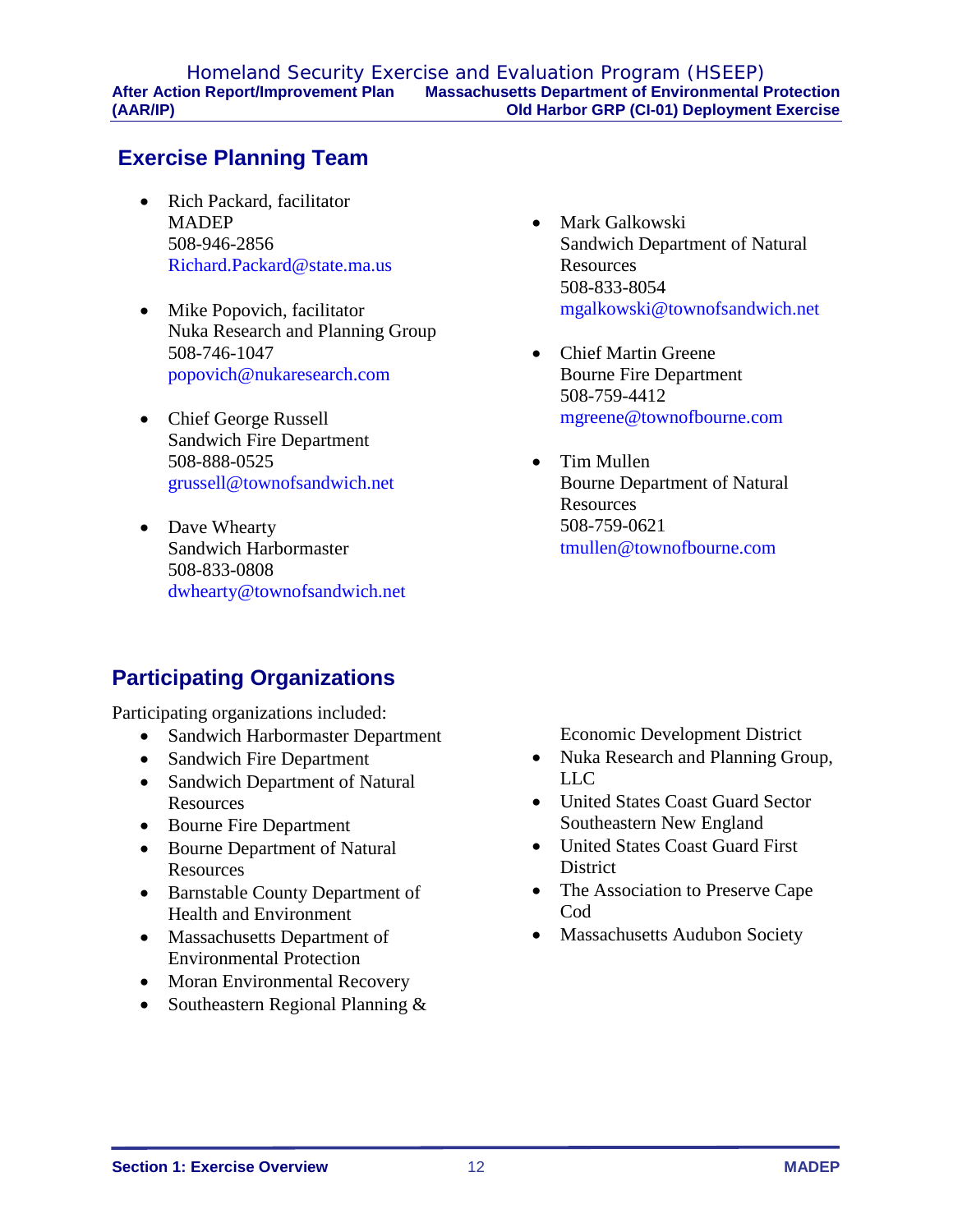### **Exercise Planning Team**

- Rich Packard, facilitator MADEP 508-946-2856 [Richard.Packard@state.ma.us](mailto:Richard.Packard@state.ma.us)
- Mike Popovich, facilitator Nuka Research and Planning Group 508-746-1047 [popovich@nukaresearch.com](mailto:popovich@nukaresearch.com)
- Chief George Russell Sandwich Fire Department 508-888-0525 [grussell@townofsandwich.net](mailto:esmith@gloucester-ma.gov)
- Dave Whearty Sandwich Harbormaster 508-833-0808 [dwhearty@townofsandwich.net](mailto:wmchugh@salempd.net)

### **Participating Organizations**

Participating organizations included:

- Sandwich Harbormaster Department
- Sandwich Fire Department
- Sandwich Department of Natural Resources
- Bourne Fire Department
- Bourne Department of Natural **Resources**
- Barnstable County Department of Health and Environment
- Massachusetts Department of Environmental Protection
- Moran Environmental Recovery
- Southeastern Regional Planning &
- Mark Galkowski Sandwich Department of Natural **Resources** 508-833-8054 [mgalkowski@townofsandwich.net](mailto:dlevasseur@salem.com)
- Chief Martin Greene Bourne Fire Department 508-759-4412 [mgreene@townofbourne.com](mailto:mgreene@townofbourne.com)
- Tim Mullen Bourne Department of Natural **Resources** 508-759-0621 [tmullen@townofbourne.com](mailto:harbormaster@town.rockport.ma.us)

Economic Development District

- Nuka Research and Planning Group, LLC
- United States Coast Guard Sector Southeastern New England
- United States Coast Guard First **District**
- The Association to Preserve Cape Cod
- Massachusetts Audubon Society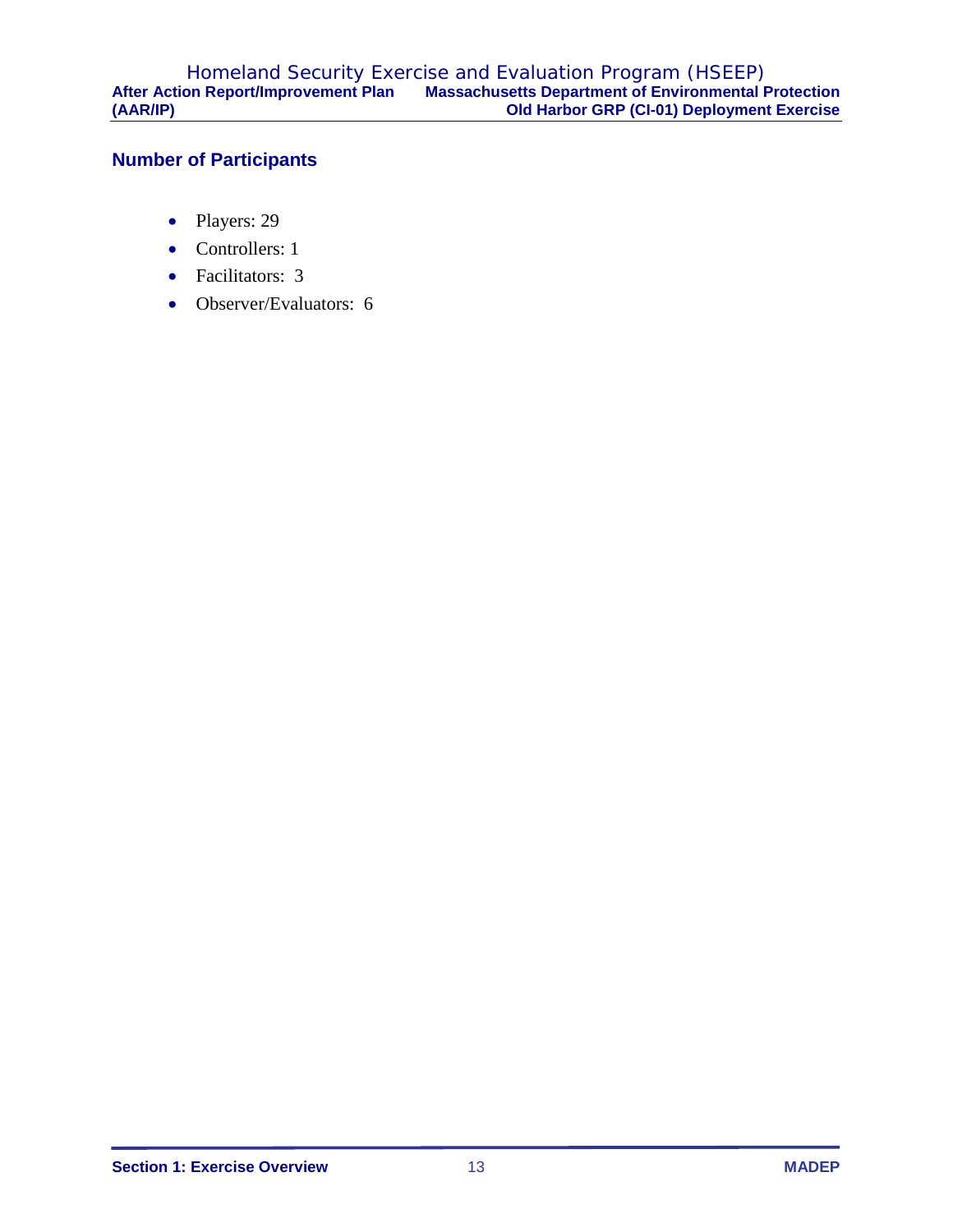#### **Number of Participants**

- Players: 29
- Controllers: 1
- Facilitators: 3
- Observer/Evaluators: 6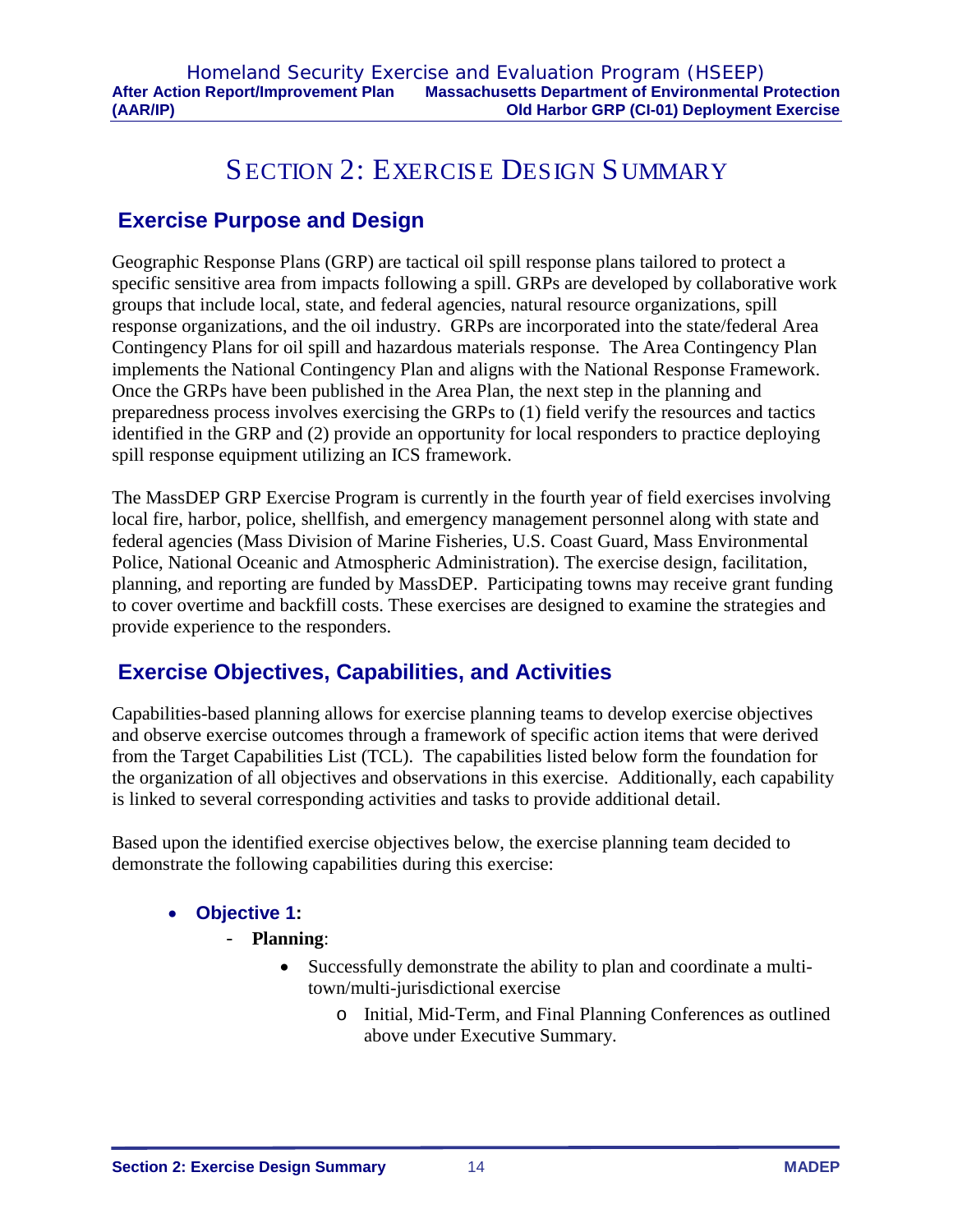### SECTION 2: EXERCISE DESIGN SUMMARY

### **Exercise Purpose and Design**

Geographic Response Plans (GRP) are tactical oil spill response plans tailored to protect a specific sensitive area from impacts following a spill. GRPs are developed by collaborative work groups that include local, state, and federal agencies, natural resource organizations, spill response organizations, and the oil industry. GRPs are incorporated into the state/federal Area Contingency Plans for oil spill and hazardous materials response. The Area Contingency Plan implements the National Contingency Plan and aligns with the National Response Framework. Once the GRPs have been published in the Area Plan, the next step in the planning and preparedness process involves exercising the GRPs to (1) field verify the resources and tactics identified in the GRP and (2) provide an opportunity for local responders to practice deploying spill response equipment utilizing an ICS framework.

The MassDEP GRP Exercise Program is currently in the fourth year of field exercises involving local fire, harbor, police, shellfish, and emergency management personnel along with state and federal agencies (Mass Division of Marine Fisheries, U.S. Coast Guard, Mass Environmental Police, National Oceanic and Atmospheric Administration). The exercise design, facilitation, planning, and reporting are funded by MassDEP. Participating towns may receive grant funding to cover overtime and backfill costs. These exercises are designed to examine the strategies and provide experience to the responders.

### **Exercise Objectives, Capabilities, and Activities**

Capabilities-based planning allows for exercise planning teams to develop exercise objectives and observe exercise outcomes through a framework of specific action items that were derived from the Target Capabilities List (TCL). The capabilities listed below form the foundation for the organization of all objectives and observations in this exercise. Additionally, each capability is linked to several corresponding activities and tasks to provide additional detail.

Based upon the identified exercise objectives below, the exercise planning team decided to demonstrate the following capabilities during this exercise:

### • **Objective 1:**

- **Planning**:
	- Successfully demonstrate the ability to plan and coordinate a multitown/multi-jurisdictional exercise
		- o Initial, Mid-Term, and Final Planning Conferences as outlined above under Executive Summary.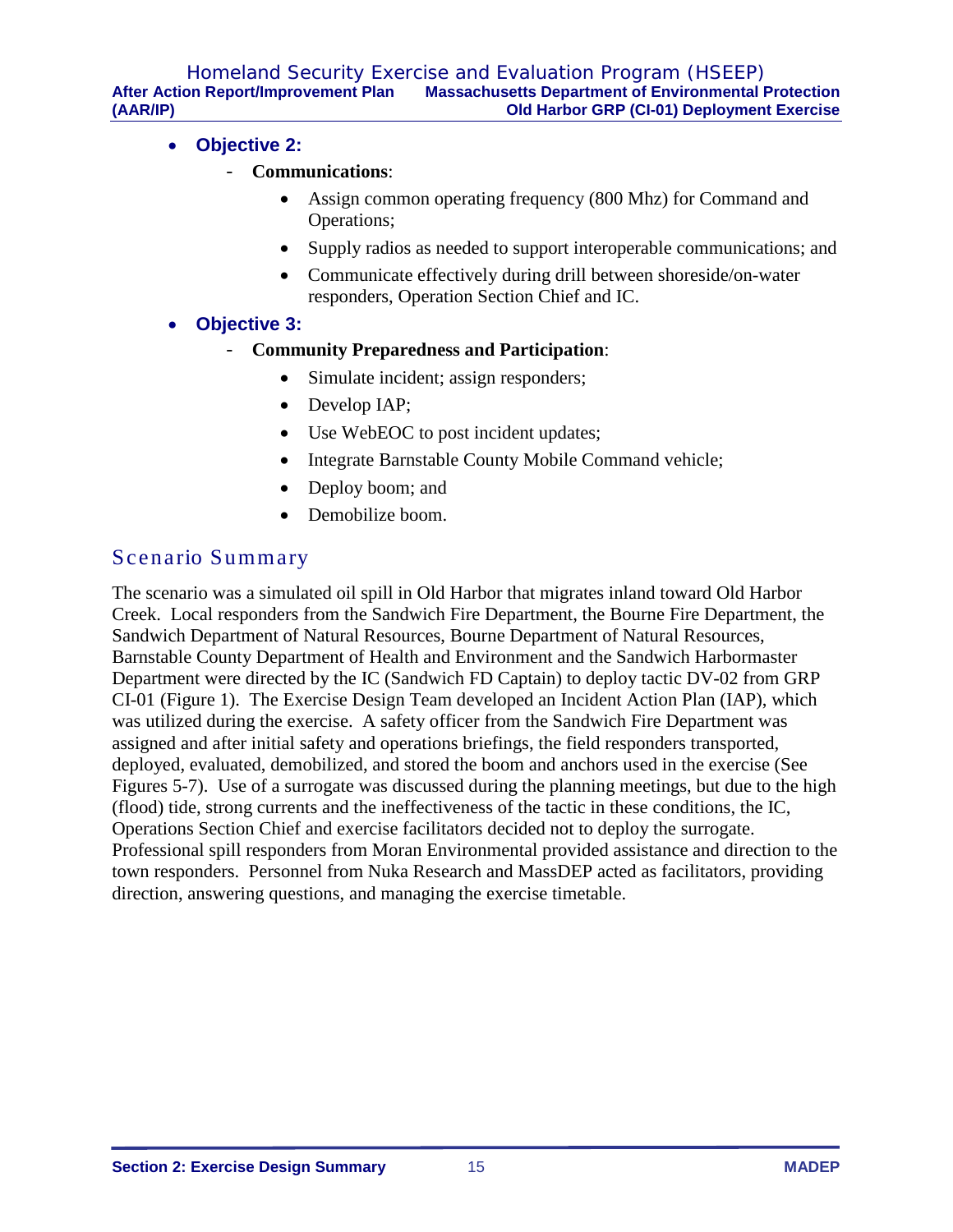#### • **Objective 2:**

- **Communications**:
	- Assign common operating frequency (800 Mhz) for Command and Operations;
	- Supply radios as needed to support interoperable communications; and
	- Communicate effectively during drill between shoreside/on-water responders, Operation Section Chief and IC.

#### • **Objective 3:**

- **Community Preparedness and Participation**:
	- Simulate incident; assign responders;
	- Develop IAP;
	- Use WebEOC to post incident updates;
	- Integrate Barnstable County Mobile Command vehicle;
	- Deploy boom; and
	- Demobilize boom.

### Scenario Summary

The scenario was a simulated oil spill in Old Harbor that migrates inland toward Old Harbor Creek. Local responders from the Sandwich Fire Department, the Bourne Fire Department, the Sandwich Department of Natural Resources, Bourne Department of Natural Resources, Barnstable County Department of Health and Environment and the Sandwich Harbormaster Department were directed by the IC (Sandwich FD Captain) to deploy tactic DV-02 from GRP CI-01 (Figure 1). The Exercise Design Team developed an Incident Action Plan (IAP), which was utilized during the exercise. A safety officer from the Sandwich Fire Department was assigned and after initial safety and operations briefings, the field responders transported, deployed, evaluated, demobilized, and stored the boom and anchors used in the exercise (See Figures 5-7). Use of a surrogate was discussed during the planning meetings, but due to the high (flood) tide, strong currents and the ineffectiveness of the tactic in these conditions, the IC, Operations Section Chief and exercise facilitators decided not to deploy the surrogate. Professional spill responders from Moran Environmental provided assistance and direction to the town responders. Personnel from Nuka Research and MassDEP acted as facilitators, providing direction, answering questions, and managing the exercise timetable.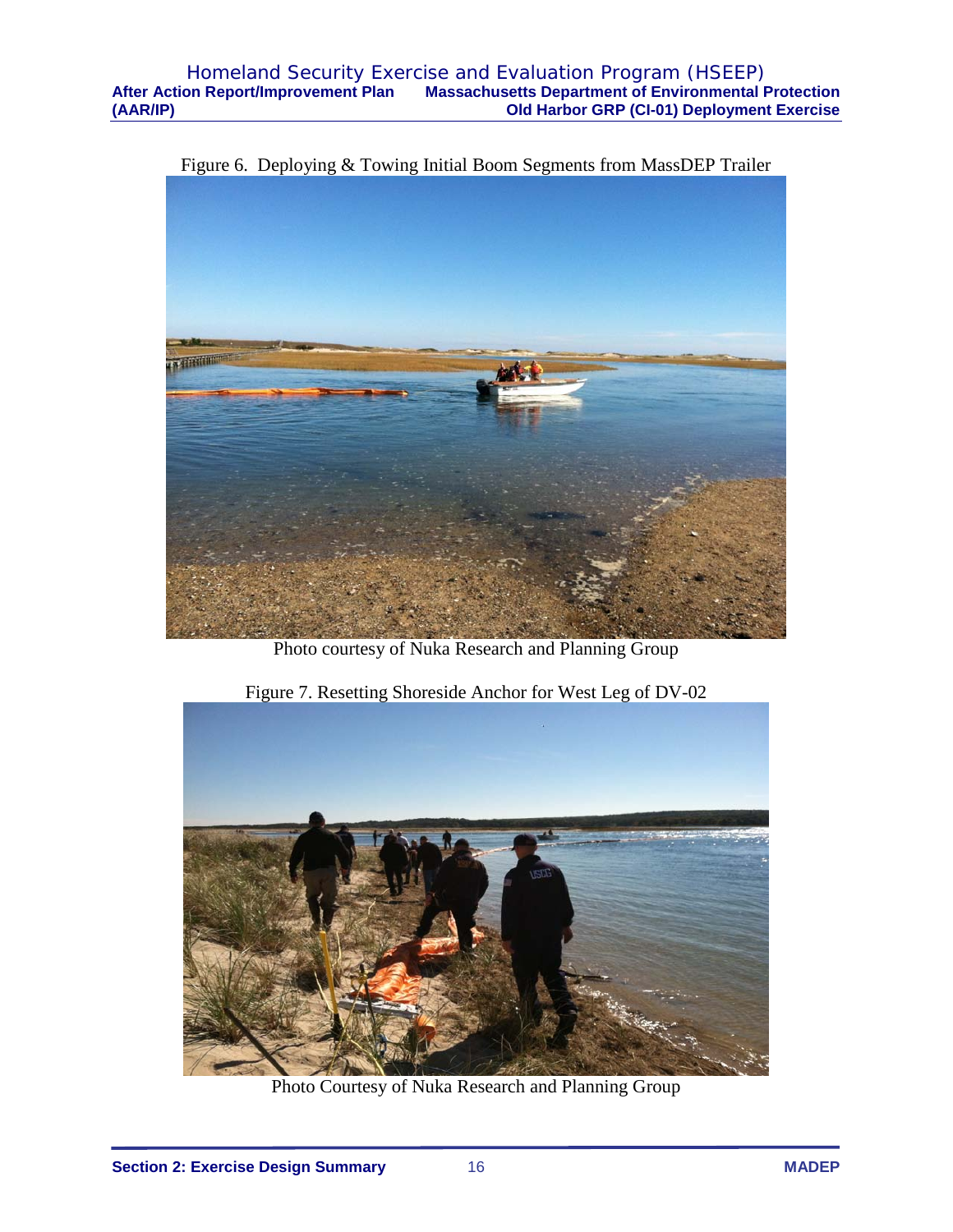

Figure 6. Deploying & Towing Initial Boom Segments from MassDEP Trailer

Photo courtesy of Nuka Research and Planning Group



Figure 7. Resetting Shoreside Anchor for West Leg of DV-02

Photo Courtesy of Nuka Research and Planning Group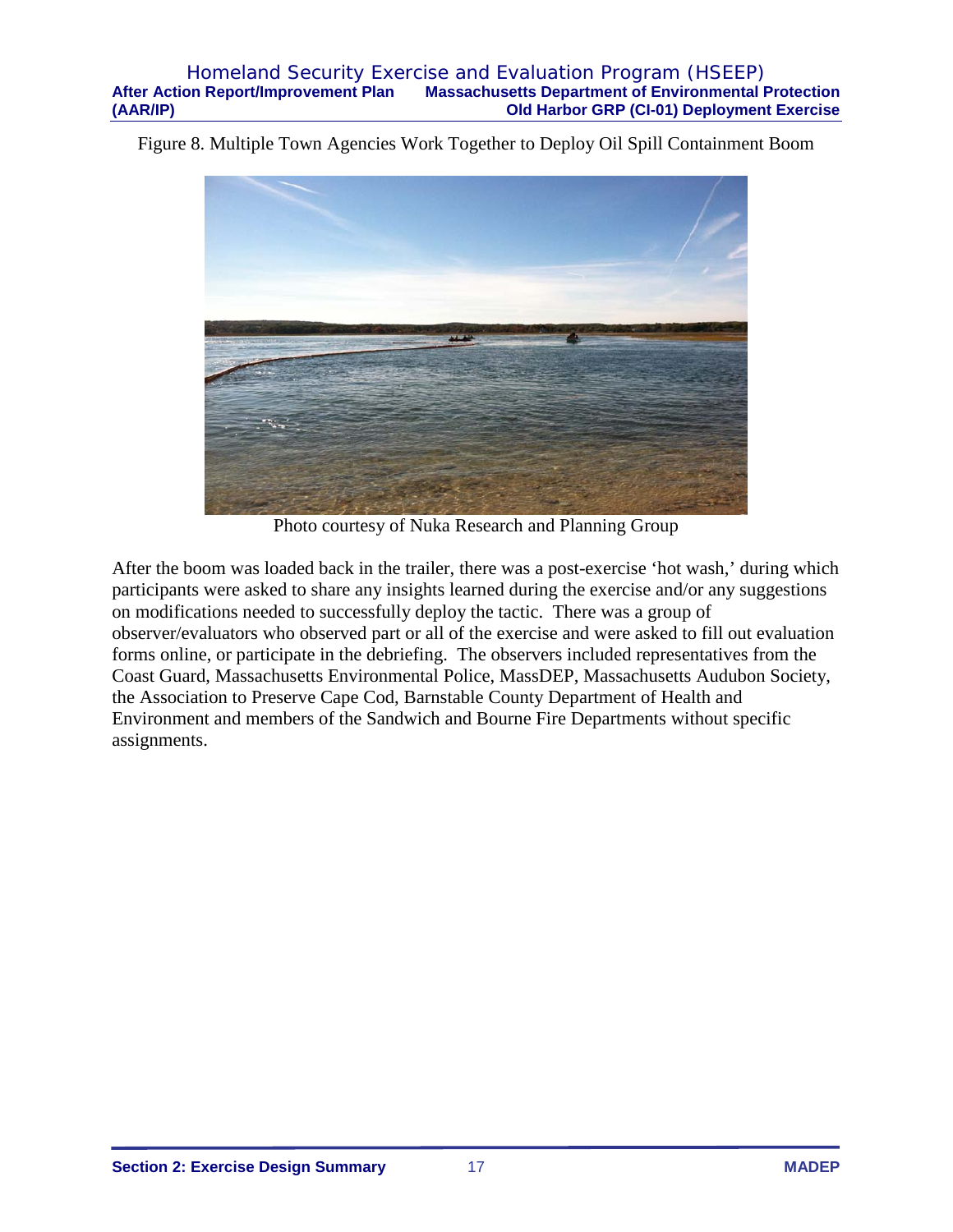#### Homeland Security Exercise and Evaluation Program (HSEEP) **After Action Report/Improvement Plan Massachusetts Department of Environmental Protection (AAR/IP) Old Harbor GRP (CI-01) Deployment Exercise**

Figure 8. Multiple Town Agencies Work Together to Deploy Oil Spill Containment Boom



Photo courtesy of Nuka Research and Planning Group

After the boom was loaded back in the trailer, there was a post-exercise 'hot wash,' during which participants were asked to share any insights learned during the exercise and/or any suggestions on modifications needed to successfully deploy the tactic. There was a group of observer/evaluators who observed part or all of the exercise and were asked to fill out evaluation forms online, or participate in the debriefing. The observers included representatives from the Coast Guard, Massachusetts Environmental Police, MassDEP, Massachusetts Audubon Society, the Association to Preserve Cape Cod, Barnstable County Department of Health and Environment and members of the Sandwich and Bourne Fire Departments without specific assignments.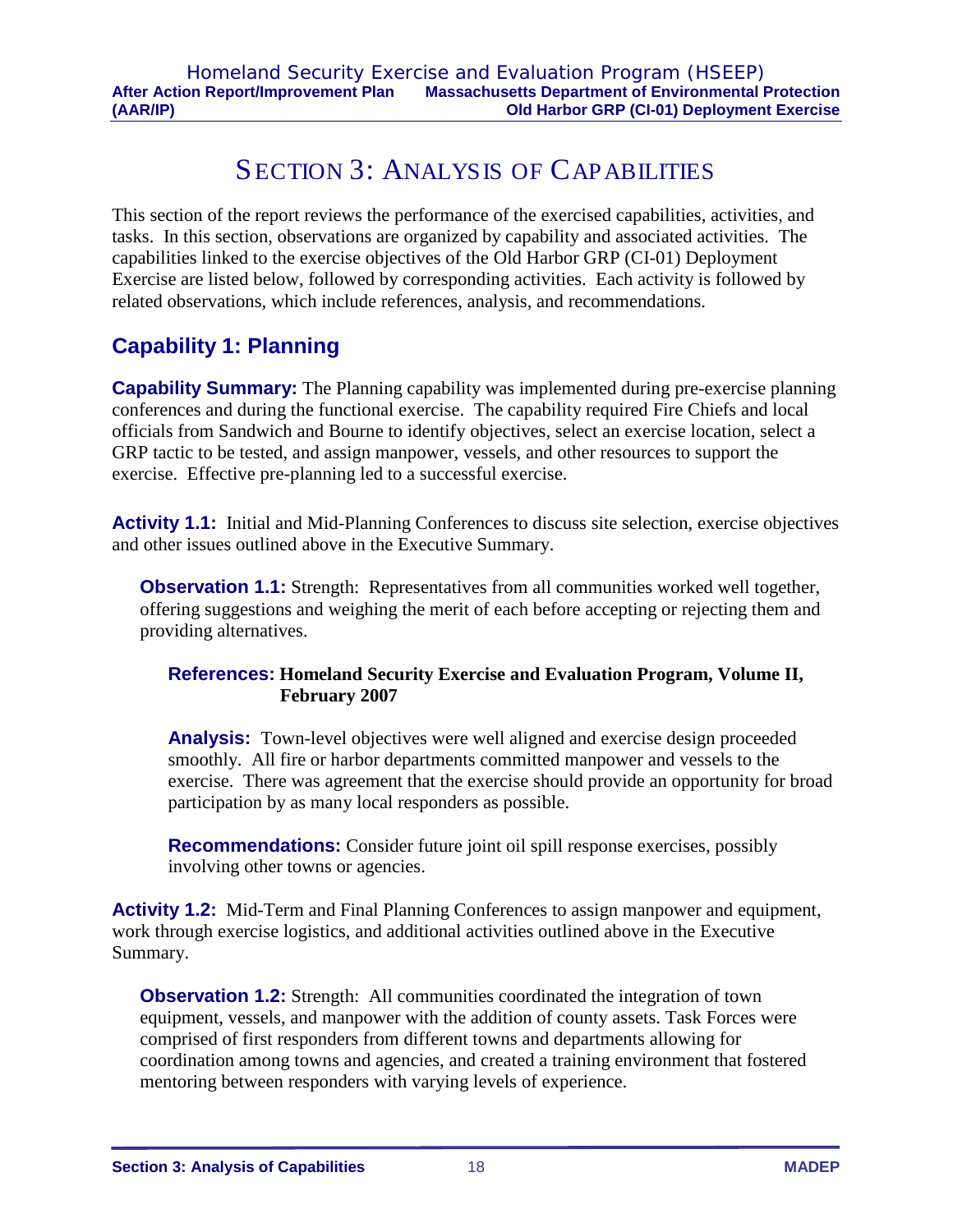### SECTION 3: ANALYSIS OF CAPABILITIES

This section of the report reviews the performance of the exercised capabilities, activities, and tasks. In this section, observations are organized by capability and associated activities. The capabilities linked to the exercise objectives of the Old Harbor GRP (CI-01) Deployment Exercise are listed below, followed by corresponding activities. Each activity is followed by related observations, which include references, analysis, and recommendations.

### **Capability 1: Planning**

**Capability Summary:** The Planning capability was implemented during pre-exercise planning conferences and during the functional exercise. The capability required Fire Chiefs and local officials from Sandwich and Bourne to identify objectives, select an exercise location, select a GRP tactic to be tested, and assign manpower, vessels, and other resources to support the exercise. Effective pre-planning led to a successful exercise.

Activity 1.1: Initial and Mid-Planning Conferences to discuss site selection, exercise objectives and other issues outlined above in the Executive Summary.

**Observation 1.1:** Strength: Representatives from all communities worked well together, offering suggestions and weighing the merit of each before accepting or rejecting them and providing alternatives.

#### **References: Homeland Security Exercise and Evaluation Program, Volume II, February 2007**

**Analysis:** Town-level objectives were well aligned and exercise design proceeded smoothly. All fire or harbor departments committed manpower and vessels to the exercise. There was agreement that the exercise should provide an opportunity for broad participation by as many local responders as possible.

**Recommendations:** Consider future joint oil spill response exercises, possibly involving other towns or agencies.

**Activity 1.2:** Mid-Term and Final Planning Conferences to assign manpower and equipment, work through exercise logistics, and additional activities outlined above in the Executive Summary.

**Observation 1.2:** Strength: All communities coordinated the integration of town equipment, vessels, and manpower with the addition of county assets. Task Forces were comprised of first responders from different towns and departments allowing for coordination among towns and agencies, and created a training environment that fostered mentoring between responders with varying levels of experience.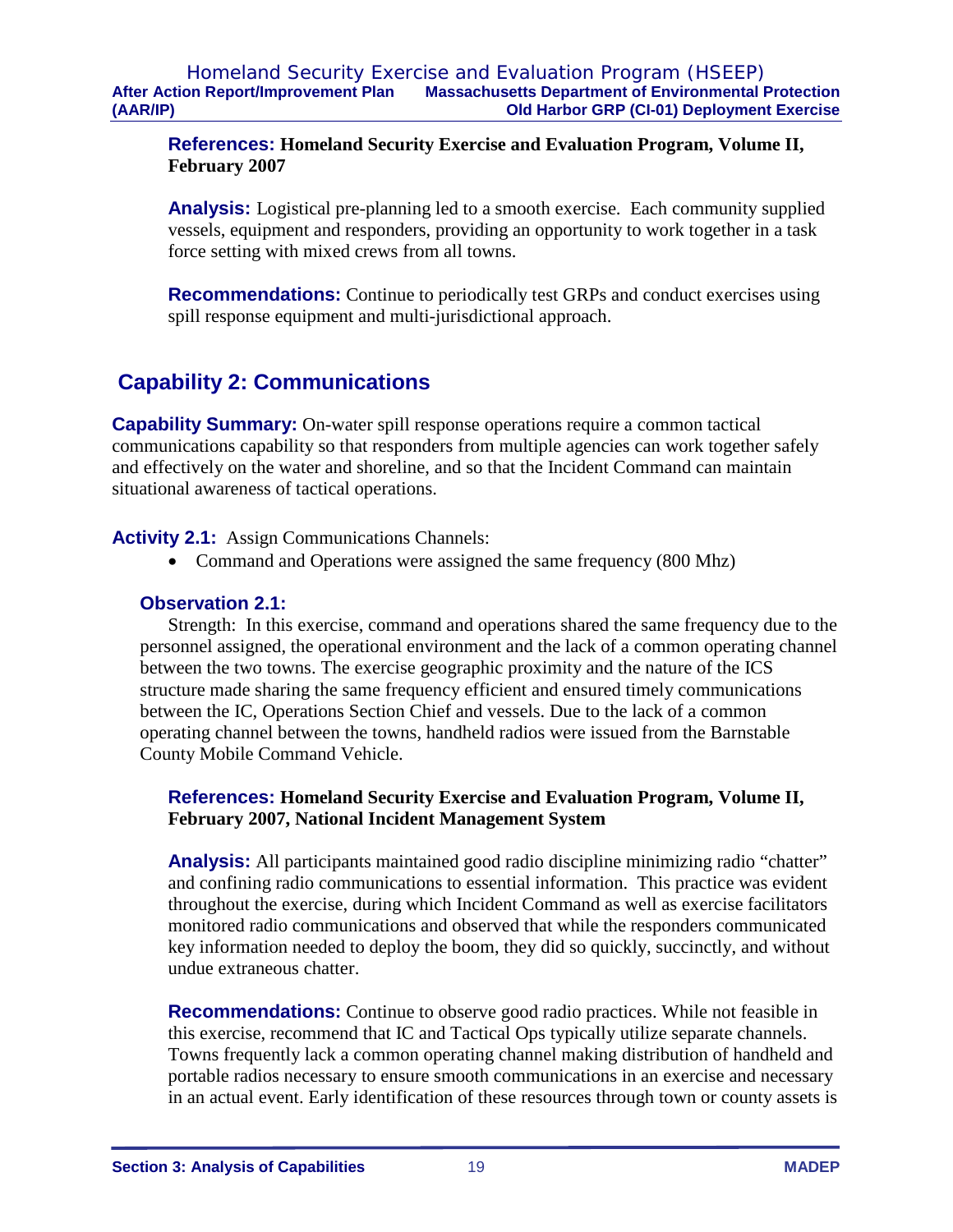#### **References: Homeland Security Exercise and Evaluation Program, Volume II, February 2007**

**Analysis:** Logistical pre-planning led to a smooth exercise. Each community supplied vessels, equipment and responders, providing an opportunity to work together in a task force setting with mixed crews from all towns.

**Recommendations:** Continue to periodically test GRPs and conduct exercises using spill response equipment and multi-jurisdictional approach.

### **Capability 2: Communications**

**Capability Summary:** On-water spill response operations require a common tactical communications capability so that responders from multiple agencies can work together safely and effectively on the water and shoreline, and so that the Incident Command can maintain situational awareness of tactical operations.

**Activity 2.1:** Assign Communications Channels:

• Command and Operations were assigned the same frequency (800 Mhz)

#### **Observation 2.1:**

Strength: In this exercise, command and operations shared the same frequency due to the personnel assigned, the operational environment and the lack of a common operating channel between the two towns. The exercise geographic proximity and the nature of the ICS structure made sharing the same frequency efficient and ensured timely communications between the IC, Operations Section Chief and vessels. Due to the lack of a common operating channel between the towns, handheld radios were issued from the Barnstable County Mobile Command Vehicle.

#### **References: Homeland Security Exercise and Evaluation Program, Volume II, February 2007, National Incident Management System**

**Analysis:** All participants maintained good radio discipline minimizing radio "chatter" and confining radio communications to essential information. This practice was evident throughout the exercise, during which Incident Command as well as exercise facilitators monitored radio communications and observed that while the responders communicated key information needed to deploy the boom, they did so quickly, succinctly, and without undue extraneous chatter.

**Recommendations:** Continue to observe good radio practices. While not feasible in this exercise, recommend that IC and Tactical Ops typically utilize separate channels. Towns frequently lack a common operating channel making distribution of handheld and portable radios necessary to ensure smooth communications in an exercise and necessary in an actual event. Early identification of these resources through town or county assets is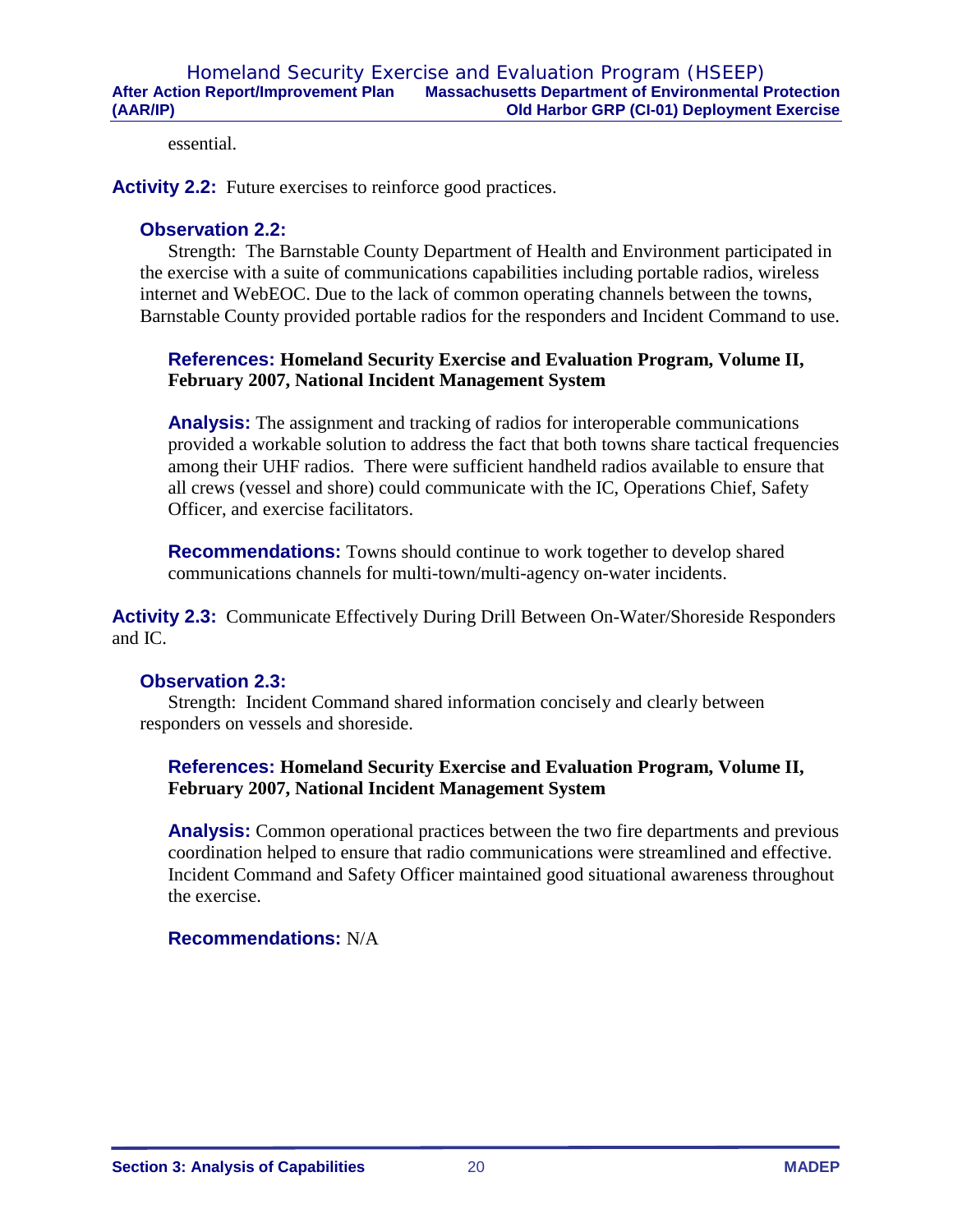essential.

Activity 2.2: Future exercises to reinforce good practices.

#### **Observation 2.2:**

Strength: The Barnstable County Department of Health and Environment participated in the exercise with a suite of communications capabilities including portable radios, wireless internet and WebEOC. Due to the lack of common operating channels between the towns, Barnstable County provided portable radios for the responders and Incident Command to use.

#### **References: Homeland Security Exercise and Evaluation Program, Volume II, February 2007, National Incident Management System**

**Analysis:** The assignment and tracking of radios for interoperable communications provided a workable solution to address the fact that both towns share tactical frequencies among their UHF radios. There were sufficient handheld radios available to ensure that all crews (vessel and shore) could communicate with the IC, Operations Chief, Safety Officer, and exercise facilitators.

**Recommendations:** Towns should continue to work together to develop shared communications channels for multi-town/multi-agency on-water incidents.

**Activity 2.3:** Communicate Effectively During Drill Between On-Water/Shoreside Responders and IC.

#### **Observation 2.3:**

Strength: Incident Command shared information concisely and clearly between responders on vessels and shoreside.

**References: Homeland Security Exercise and Evaluation Program, Volume II, February 2007, National Incident Management System**

**Analysis:** Common operational practices between the two fire departments and previous coordination helped to ensure that radio communications were streamlined and effective. Incident Command and Safety Officer maintained good situational awareness throughout the exercise.

#### **Recommendations:** N/A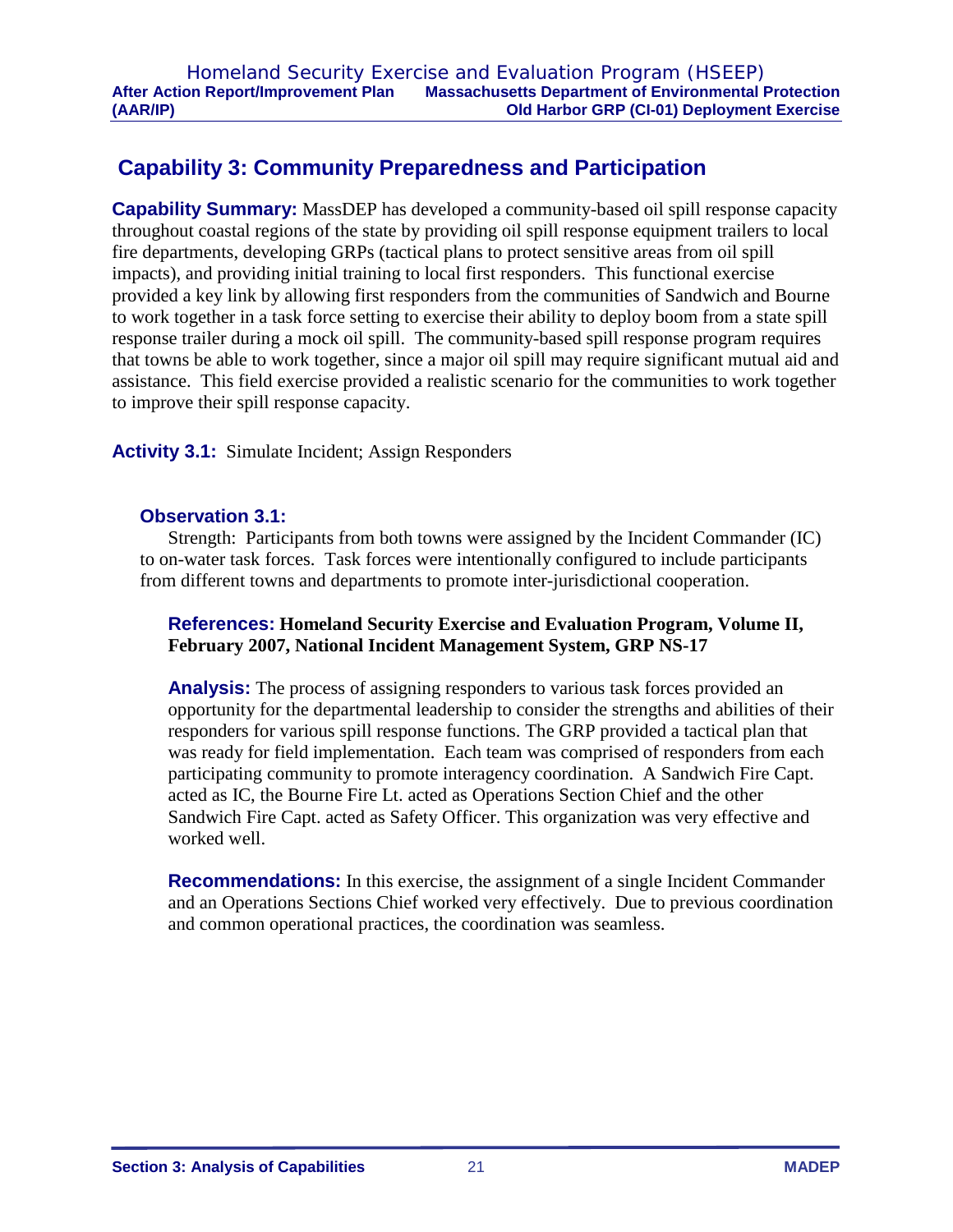### **Capability 3: Community Preparedness and Participation**

**Capability Summary:** MassDEP has developed a community-based oil spill response capacity throughout coastal regions of the state by providing oil spill response equipment trailers to local fire departments, developing GRPs (tactical plans to protect sensitive areas from oil spill impacts), and providing initial training to local first responders. This functional exercise provided a key link by allowing first responders from the communities of Sandwich and Bourne to work together in a task force setting to exercise their ability to deploy boom from a state spill response trailer during a mock oil spill. The community-based spill response program requires that towns be able to work together, since a major oil spill may require significant mutual aid and assistance. This field exercise provided a realistic scenario for the communities to work together to improve their spill response capacity.

#### **Activity 3.1:** Simulate Incident; Assign Responders

#### **Observation 3.1:**

Strength: Participants from both towns were assigned by the Incident Commander (IC) to on-water task forces. Task forces were intentionally configured to include participants from different towns and departments to promote inter-jurisdictional cooperation.

#### **References: Homeland Security Exercise and Evaluation Program, Volume II, February 2007, National Incident Management System, GRP NS-17**

**Analysis:** The process of assigning responders to various task forces provided an opportunity for the departmental leadership to consider the strengths and abilities of their responders for various spill response functions. The GRP provided a tactical plan that was ready for field implementation. Each team was comprised of responders from each participating community to promote interagency coordination. A Sandwich Fire Capt. acted as IC, the Bourne Fire Lt. acted as Operations Section Chief and the other Sandwich Fire Capt. acted as Safety Officer. This organization was very effective and worked well.

**Recommendations:** In this exercise, the assignment of a single Incident Commander and an Operations Sections Chief worked very effectively. Due to previous coordination and common operational practices, the coordination was seamless.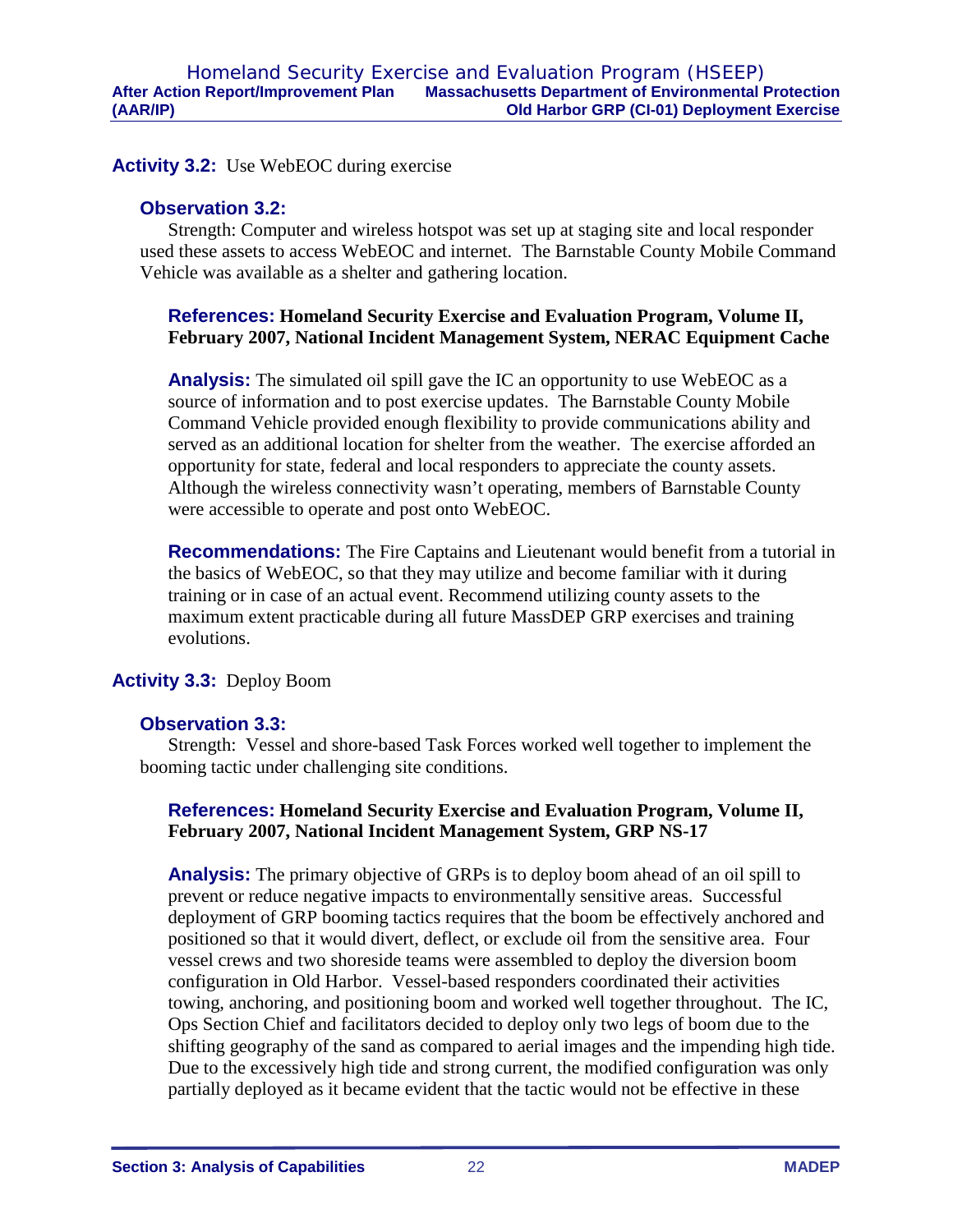#### Activity 3.2: Use WebEOC during exercise

#### **Observation 3.2:**

Strength: Computer and wireless hotspot was set up at staging site and local responder used these assets to access WebEOC and internet. The Barnstable County Mobile Command Vehicle was available as a shelter and gathering location.

#### **References: Homeland Security Exercise and Evaluation Program, Volume II, February 2007, National Incident Management System, NERAC Equipment Cache**

**Analysis:** The simulated oil spill gave the IC an opportunity to use WebEOC as a source of information and to post exercise updates. The Barnstable County Mobile Command Vehicle provided enough flexibility to provide communications ability and served as an additional location for shelter from the weather. The exercise afforded an opportunity for state, federal and local responders to appreciate the county assets. Although the wireless connectivity wasn't operating, members of Barnstable County were accessible to operate and post onto WebEOC.

**Recommendations:** The Fire Captains and Lieutenant would benefit from a tutorial in the basics of WebEOC, so that they may utilize and become familiar with it during training or in case of an actual event. Recommend utilizing county assets to the maximum extent practicable during all future MassDEP GRP exercises and training evolutions.

#### **Activity 3.3:** Deploy Boom

#### **Observation 3.3:**

Strength: Vessel and shore-based Task Forces worked well together to implement the booming tactic under challenging site conditions.

#### **References: Homeland Security Exercise and Evaluation Program, Volume II, February 2007, National Incident Management System, GRP NS-17**

**Analysis:** The primary objective of GRPs is to deploy boom ahead of an oil spill to prevent or reduce negative impacts to environmentally sensitive areas. Successful deployment of GRP booming tactics requires that the boom be effectively anchored and positioned so that it would divert, deflect, or exclude oil from the sensitive area. Four vessel crews and two shoreside teams were assembled to deploy the diversion boom configuration in Old Harbor. Vessel-based responders coordinated their activities towing, anchoring, and positioning boom and worked well together throughout. The IC, Ops Section Chief and facilitators decided to deploy only two legs of boom due to the shifting geography of the sand as compared to aerial images and the impending high tide. Due to the excessively high tide and strong current, the modified configuration was only partially deployed as it became evident that the tactic would not be effective in these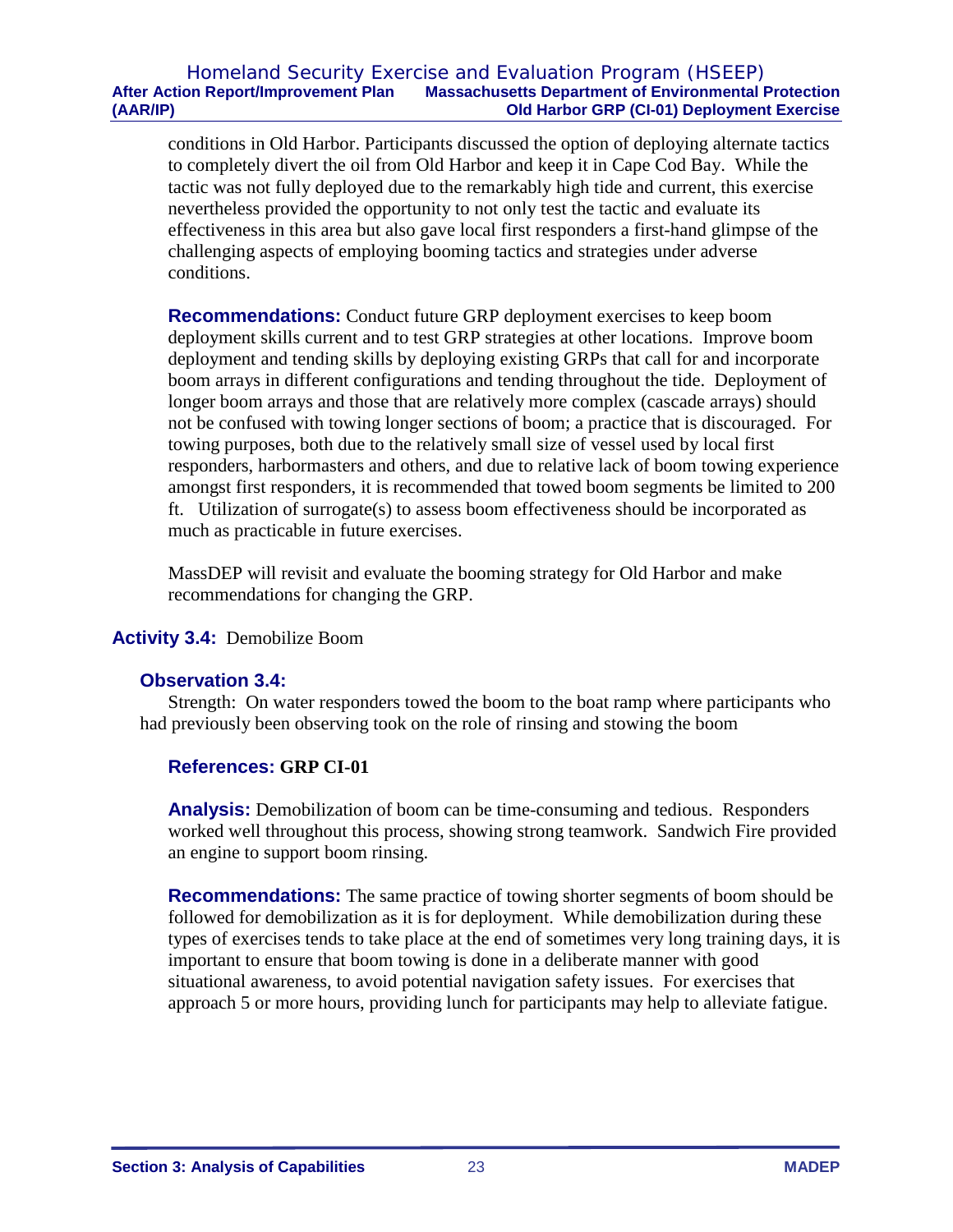conditions in Old Harbor. Participants discussed the option of deploying alternate tactics to completely divert the oil from Old Harbor and keep it in Cape Cod Bay. While the tactic was not fully deployed due to the remarkably high tide and current, this exercise nevertheless provided the opportunity to not only test the tactic and evaluate its effectiveness in this area but also gave local first responders a first-hand glimpse of the challenging aspects of employing booming tactics and strategies under adverse conditions.

**Recommendations:** Conduct future GRP deployment exercises to keep boom deployment skills current and to test GRP strategies at other locations. Improve boom deployment and tending skills by deploying existing GRPs that call for and incorporate boom arrays in different configurations and tending throughout the tide. Deployment of longer boom arrays and those that are relatively more complex (cascade arrays) should not be confused with towing longer sections of boom; a practice that is discouraged. For towing purposes, both due to the relatively small size of vessel used by local first responders, harbormasters and others, and due to relative lack of boom towing experience amongst first responders, it is recommended that towed boom segments be limited to 200 ft. Utilization of surrogate(s) to assess boom effectiveness should be incorporated as much as practicable in future exercises.

MassDEP will revisit and evaluate the booming strategy for Old Harbor and make recommendations for changing the GRP.

#### **Activity 3.4:** Demobilize Boom

#### **Observation 3.4:**

Strength: On water responders towed the boom to the boat ramp where participants who had previously been observing took on the role of rinsing and stowing the boom

#### **References: GRP CI-01**

**Analysis:** Demobilization of boom can be time-consuming and tedious. Responders worked well throughout this process, showing strong teamwork. Sandwich Fire provided an engine to support boom rinsing.

**Recommendations:** The same practice of towing shorter segments of boom should be followed for demobilization as it is for deployment. While demobilization during these types of exercises tends to take place at the end of sometimes very long training days, it is important to ensure that boom towing is done in a deliberate manner with good situational awareness, to avoid potential navigation safety issues. For exercises that approach 5 or more hours, providing lunch for participants may help to alleviate fatigue.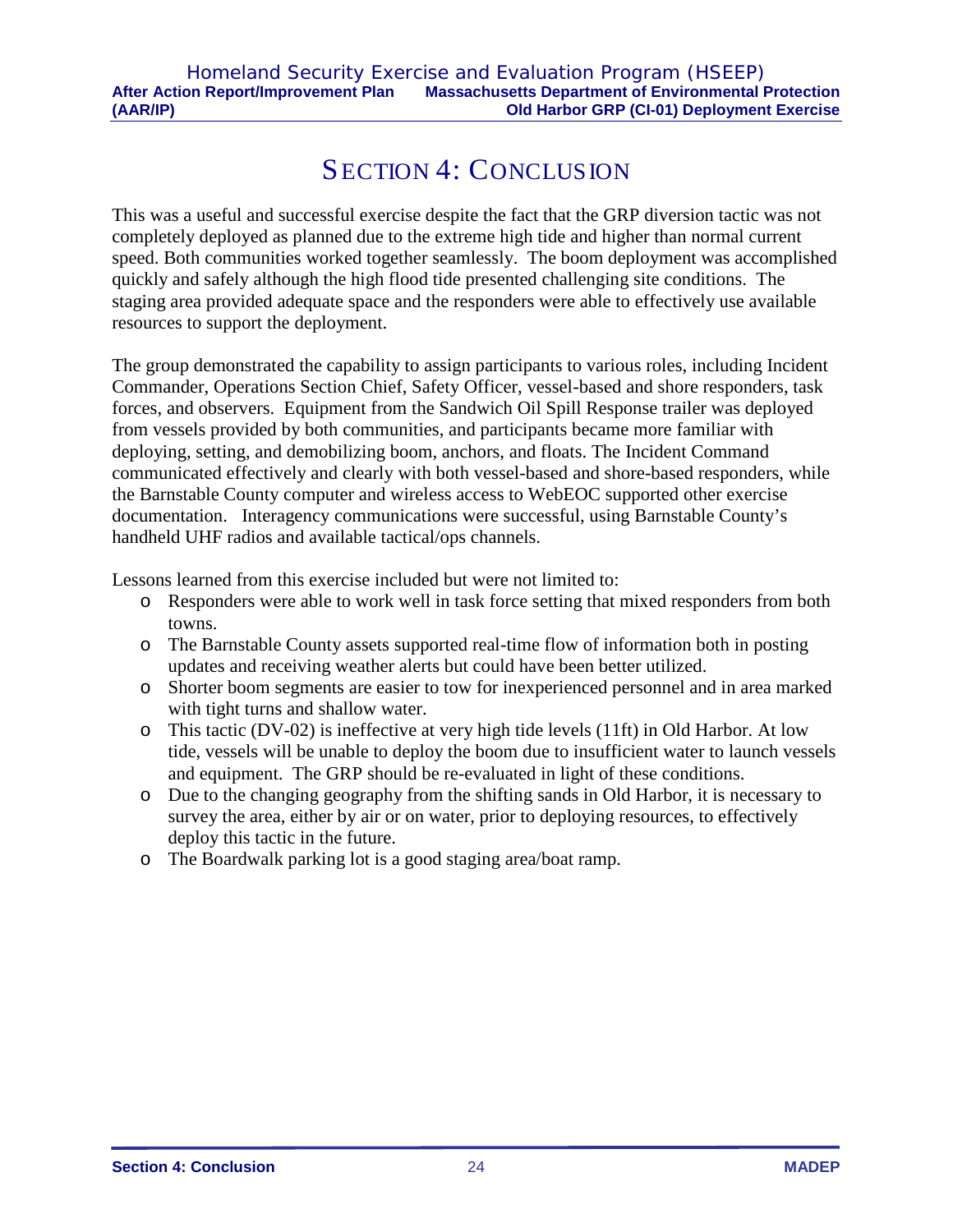### SECTION 4: CONCLUSION

This was a useful and successful exercise despite the fact that the GRP diversion tactic was not completely deployed as planned due to the extreme high tide and higher than normal current speed. Both communities worked together seamlessly. The boom deployment was accomplished quickly and safely although the high flood tide presented challenging site conditions. The staging area provided adequate space and the responders were able to effectively use available resources to support the deployment.

The group demonstrated the capability to assign participants to various roles, including Incident Commander, Operations Section Chief, Safety Officer, vessel-based and shore responders, task forces, and observers. Equipment from the Sandwich Oil Spill Response trailer was deployed from vessels provided by both communities, and participants became more familiar with deploying, setting, and demobilizing boom, anchors, and floats. The Incident Command communicated effectively and clearly with both vessel-based and shore-based responders, while the Barnstable County computer and wireless access to WebEOC supported other exercise documentation. Interagency communications were successful, using Barnstable County's handheld UHF radios and available tactical/ops channels.

Lessons learned from this exercise included but were not limited to:

- o Responders were able to work well in task force setting that mixed responders from both towns.
- o The Barnstable County assets supported real-time flow of information both in posting updates and receiving weather alerts but could have been better utilized.
- o Shorter boom segments are easier to tow for inexperienced personnel and in area marked with tight turns and shallow water.
- o This tactic (DV-02) is ineffective at very high tide levels (11ft) in Old Harbor. At low tide, vessels will be unable to deploy the boom due to insufficient water to launch vessels and equipment. The GRP should be re-evaluated in light of these conditions.
- o Due to the changing geography from the shifting sands in Old Harbor, it is necessary to survey the area, either by air or on water, prior to deploying resources, to effectively deploy this tactic in the future.
- o The Boardwalk parking lot is a good staging area/boat ramp.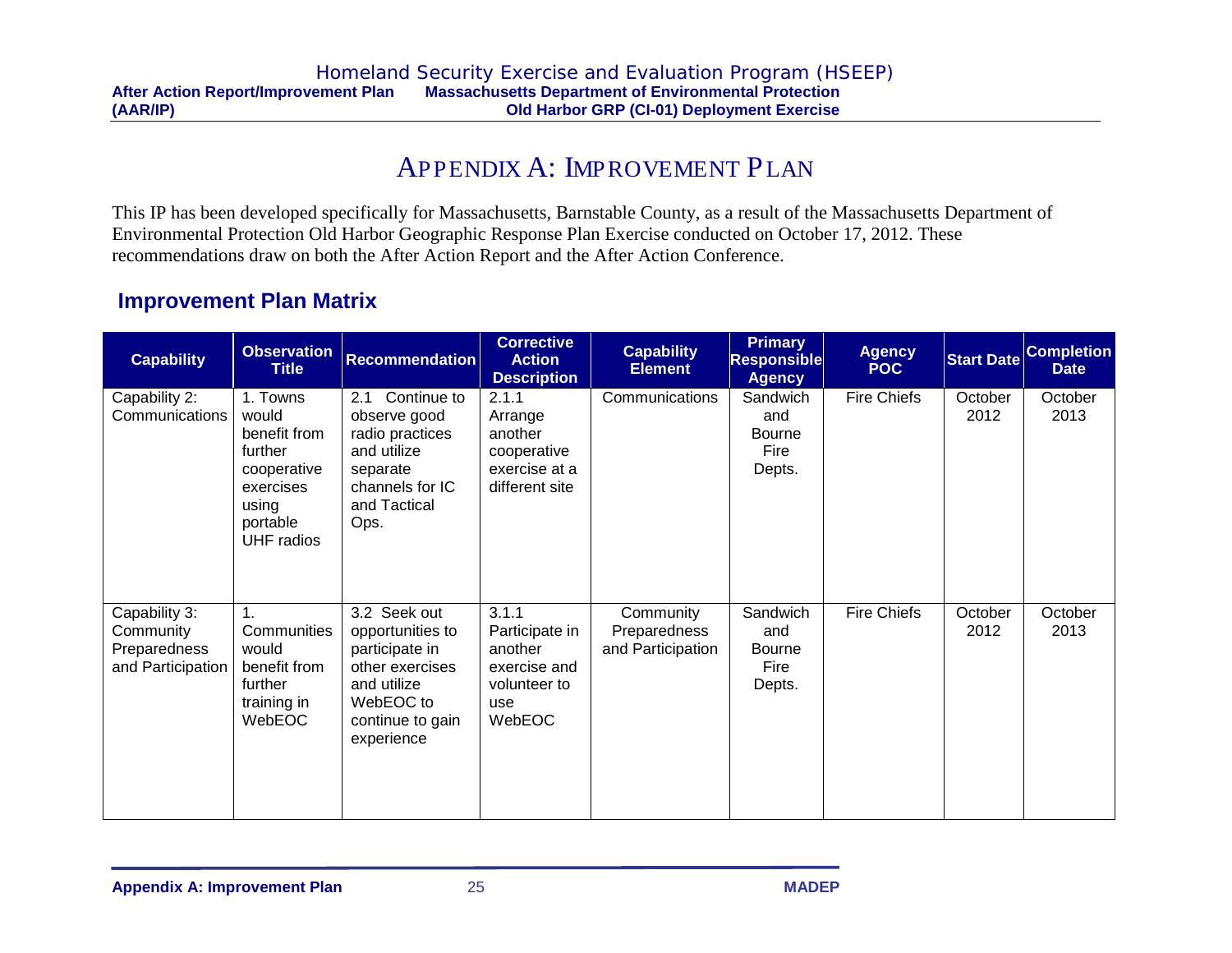### APPENDIX A: IMPROVEMENT PLAN

This IP has been developed specifically for Massachusetts, Barnstable County, as a result of the Massachusetts Department of Environmental Protection Old Harbor Geographic Response Plan Exercise conducted on October 17, 2012. These recommendations draw on both the After Action Report and the After Action Conference.

### **Improvement Plan Matrix**

| <b>Capability</b>                                               | <b>Observation</b><br><b>Title</b>                                                                                 | <b>Recommendation</b>                                                                                                               | <b>Corrective</b><br><b>Action</b><br><b>Description</b>                            | <b>Capability</b><br><b>Element</b>            | <b>Primary</b><br><b>Responsible</b><br><b>Agency</b> | <b>Agency</b><br><b>POC</b> |                 | Start Date Completion<br><b>Date</b> |
|-----------------------------------------------------------------|--------------------------------------------------------------------------------------------------------------------|-------------------------------------------------------------------------------------------------------------------------------------|-------------------------------------------------------------------------------------|------------------------------------------------|-------------------------------------------------------|-----------------------------|-----------------|--------------------------------------|
| Capability 2:<br>Communications                                 | 1. Towns<br>would<br>benefit from<br>further<br>cooperative<br>exercises<br>using<br>portable<br><b>UHF</b> radios | Continue to<br>2.1<br>observe good<br>radio practices<br>and utilize<br>separate<br>channels for IC<br>and Tactical<br>Ops.         | 2.1.1<br>Arrange<br>another<br>cooperative<br>exercise at a<br>different site       | Communications                                 | Sandwich<br>and<br><b>Bourne</b><br>Fire<br>Depts.    | <b>Fire Chiefs</b>          | October<br>2012 | October<br>2013                      |
| Capability 3:<br>Community<br>Preparedness<br>and Participation | Communities<br>would<br>benefit from<br>further<br>training in<br>WebEOC                                           | 3.2 Seek out<br>opportunities to<br>participate in<br>other exercises<br>and utilize<br>WebEOC to<br>continue to gain<br>experience | 3.1.1<br>Participate in<br>another<br>exercise and<br>volunteer to<br>use<br>WebEOC | Community<br>Preparedness<br>and Participation | Sandwich<br>and<br>Bourne<br>Fire<br>Depts.           | <b>Fire Chiefs</b>          | October<br>2012 | October<br>2013                      |

#### **Appendix A: Improvement Plan** 25 **MADEP**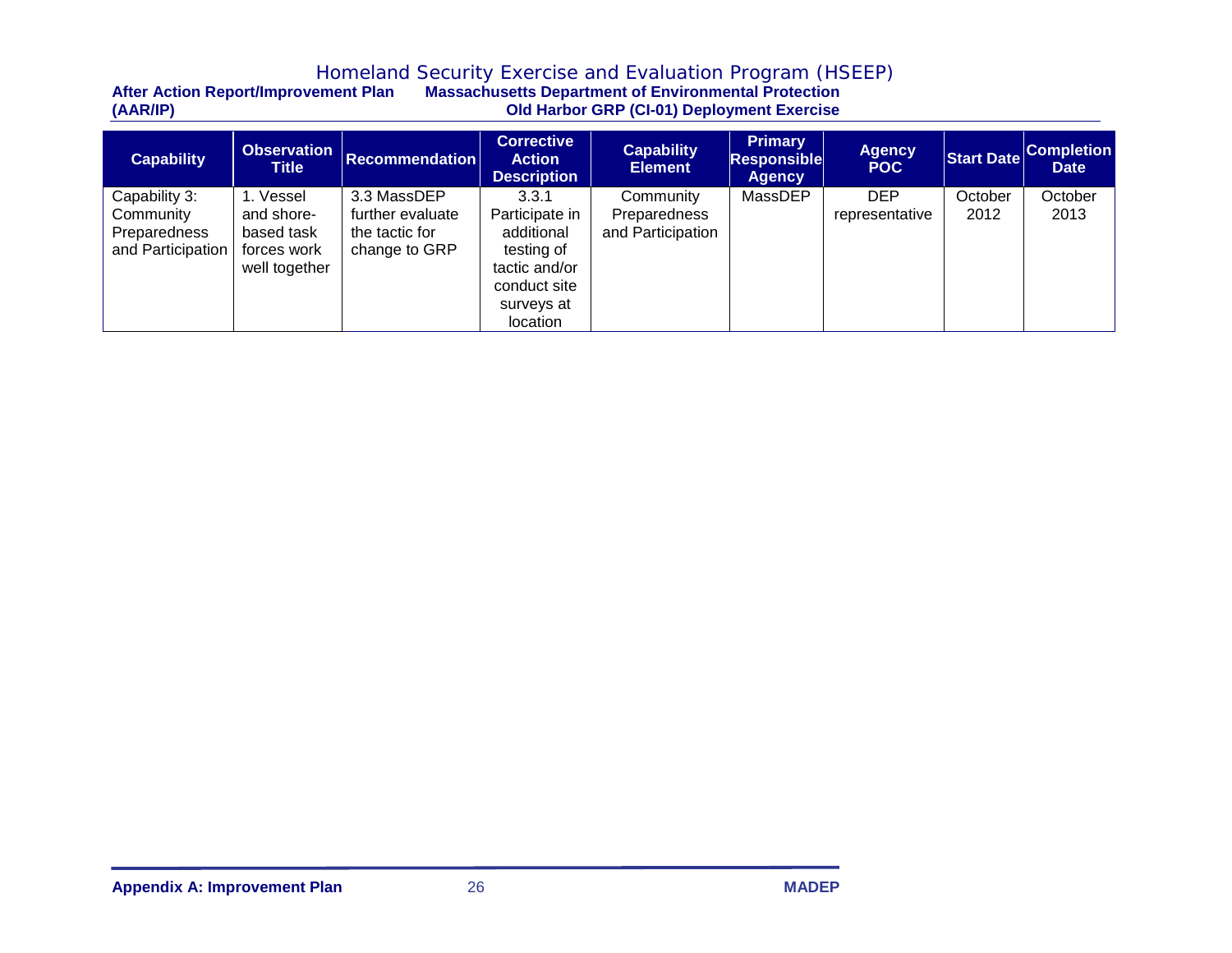Homeland Security Exercise and Evaluation Program (HSEEP)<br>After Action Report/Improvement Plan Massachusetts Department of Environmental Protection **After Action Report/Improvement Plan Massachusetts Department of Environmental Protection (AAR/IP) Old Harbor GRP (CI-01) Deployment Exercise**

| <b>Capability</b>                                               | <b>Observation</b><br><b>Title</b>                                    | <b>Recommendation</b>                                              | <b>Corrective</b><br><b>Action</b><br><b>Description</b>                                                       | <b>Capability</b><br><b>Element</b>            | <b>Primary</b><br><b>Responsible</b><br><b>Agency</b> | <b>Agency</b><br><b>POC</b>  | <b>Start Date</b> | <b>Completion</b><br><b>Date</b> |
|-----------------------------------------------------------------|-----------------------------------------------------------------------|--------------------------------------------------------------------|----------------------------------------------------------------------------------------------------------------|------------------------------------------------|-------------------------------------------------------|------------------------------|-------------------|----------------------------------|
| Capability 3:<br>Community<br>Preparedness<br>and Participation | 1. Vessel<br>and shore-<br>based task<br>forces work<br>well together | 3.3 MassDEP<br>further evaluate<br>the tactic for<br>change to GRP | 3.3.1<br>Participate in<br>additional<br>testing of<br>tactic and/or<br>conduct site<br>surveys at<br>location | Community<br>Preparedness<br>and Participation | MassDEP                                               | <b>DEP</b><br>representative | October<br>2012   | October<br>2013                  |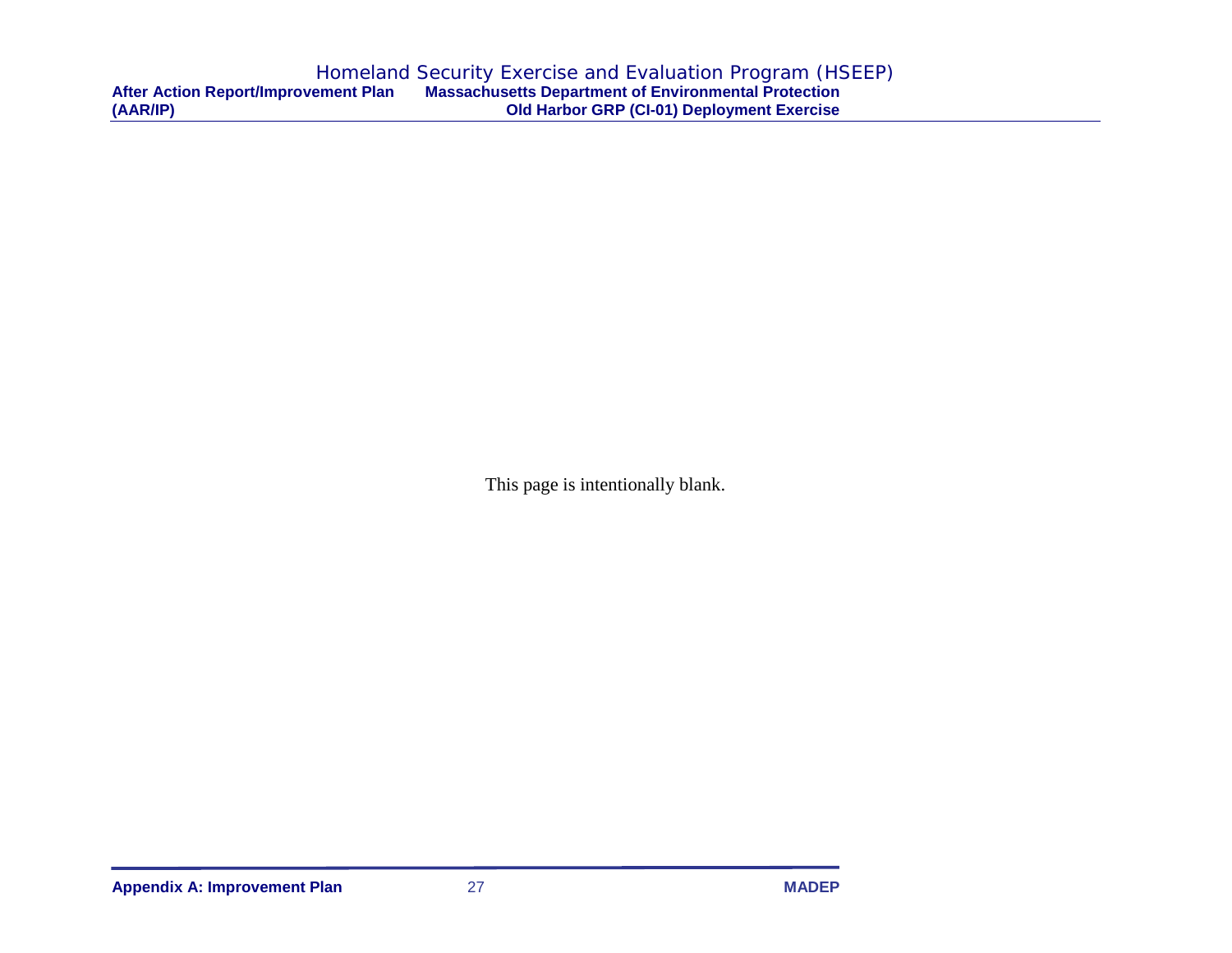**After Action Report/Improvement Plan Massachusetts Department of Environmental Protection (AAR/IP) Old Harbor GRP (CI-01) Deployment Exercise**

This page is intentionally blank.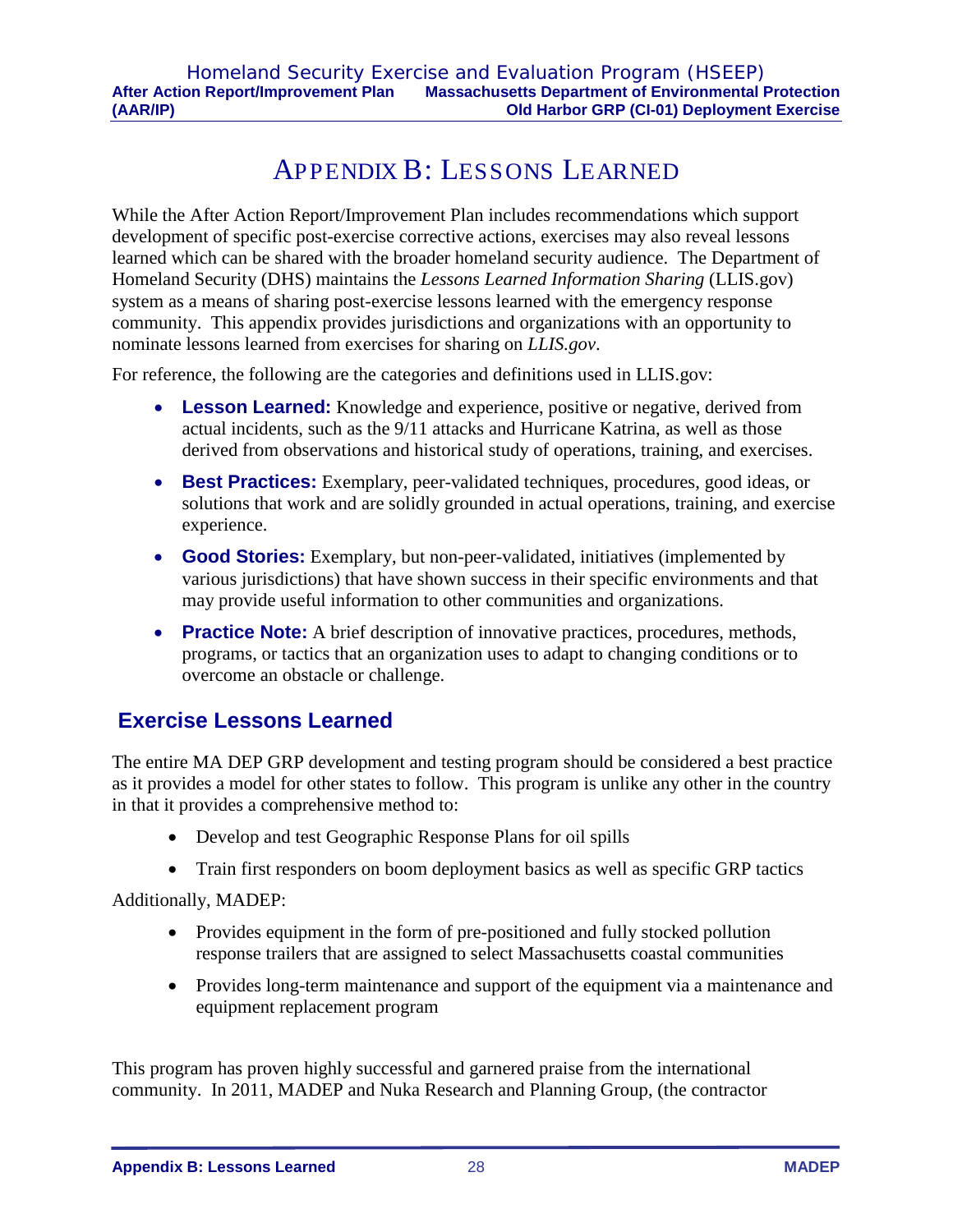### APPENDIX B: LESSONS LEARNED

While the After Action Report/Improvement Plan includes recommendations which support development of specific post-exercise corrective actions, exercises may also reveal lessons learned which can be shared with the broader homeland security audience. The Department of Homeland Security (DHS) maintains the *Lessons Learned Information Sharing* (LLIS.gov) system as a means of sharing post-exercise lessons learned with the emergency response community. This appendix provides jurisdictions and organizations with an opportunity to nominate lessons learned from exercises for sharing on *LLIS.gov*.

For reference, the following are the categories and definitions used in LLIS.gov:

- **Lesson Learned:** Knowledge and experience, positive or negative, derived from actual incidents, such as the 9/11 attacks and Hurricane Katrina, as well as those derived from observations and historical study of operations, training, and exercises.
- **Best Practices:** Exemplary, peer-validated techniques, procedures, good ideas, or solutions that work and are solidly grounded in actual operations, training, and exercise experience.
- **Good Stories:** Exemplary, but non-peer-validated, initiatives (implemented by various jurisdictions) that have shown success in their specific environments and that may provide useful information to other communities and organizations.
- **Practice Note:** A brief description of innovative practices, procedures, methods, programs, or tactics that an organization uses to adapt to changing conditions or to overcome an obstacle or challenge.

### **Exercise Lessons Learned**

The entire MA DEP GRP development and testing program should be considered a best practice as it provides a model for other states to follow. This program is unlike any other in the country in that it provides a comprehensive method to:

- Develop and test Geographic Response Plans for oil spills
- Train first responders on boom deployment basics as well as specific GRP tactics

Additionally, MADEP:

- Provides equipment in the form of pre-positioned and fully stocked pollution response trailers that are assigned to select Massachusetts coastal communities
- Provides long-term maintenance and support of the equipment via a maintenance and equipment replacement program

This program has proven highly successful and garnered praise from the international community. In 2011, MADEP and Nuka Research and Planning Group, (the contractor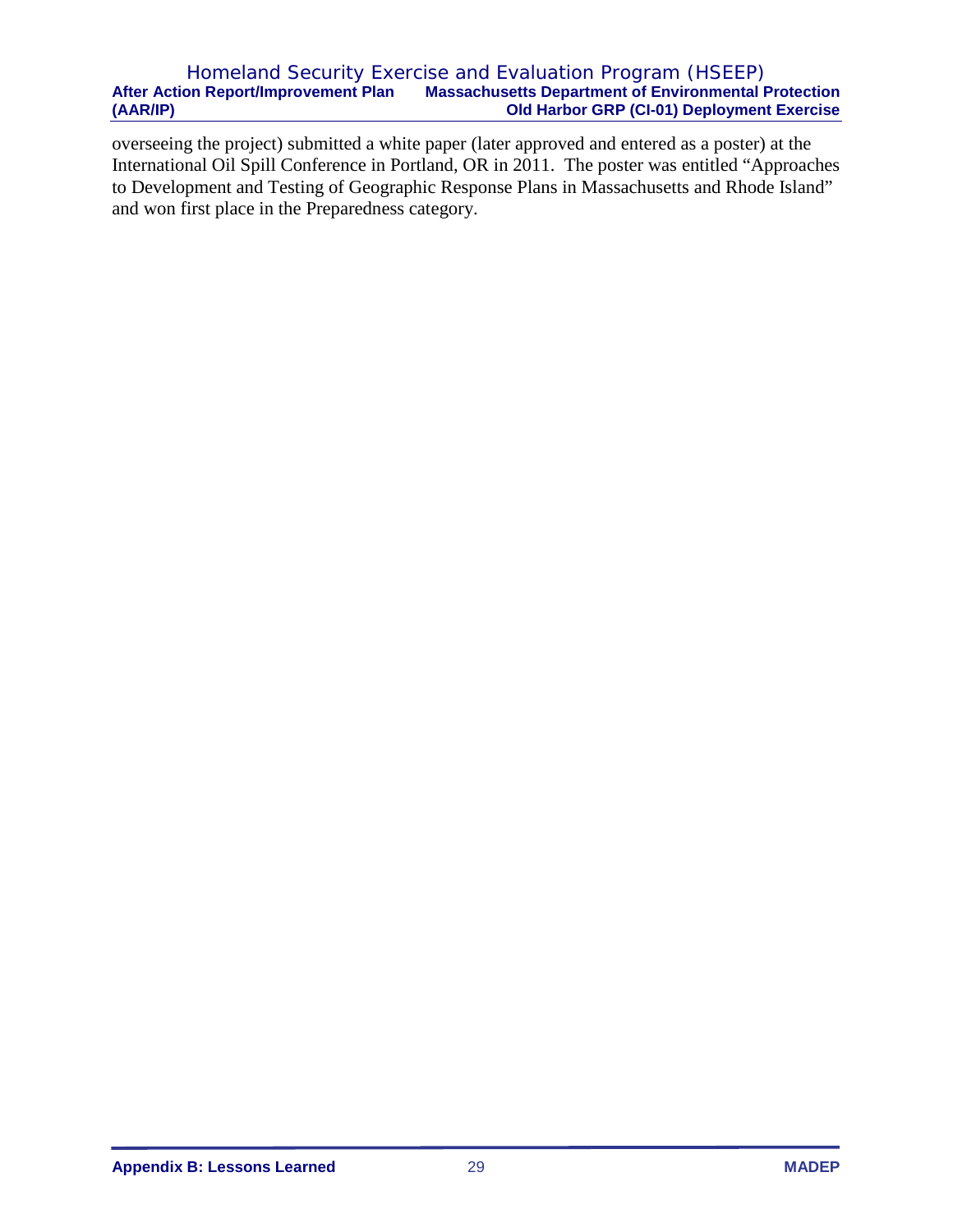#### Homeland Security Exercise and Evaluation Program (HSEEP) **After Action Report/Improvement Plan Massachusetts Department of Environmental Protection (AAR/IP) Old Harbor GRP (CI-01) Deployment Exercise**

overseeing the project) submitted a white paper (later approved and entered as a poster) at the International Oil Spill Conference in Portland, OR in 2011. The poster was entitled "Approaches to Development and Testing of Geographic Response Plans in Massachusetts and Rhode Island" and won first place in the Preparedness category.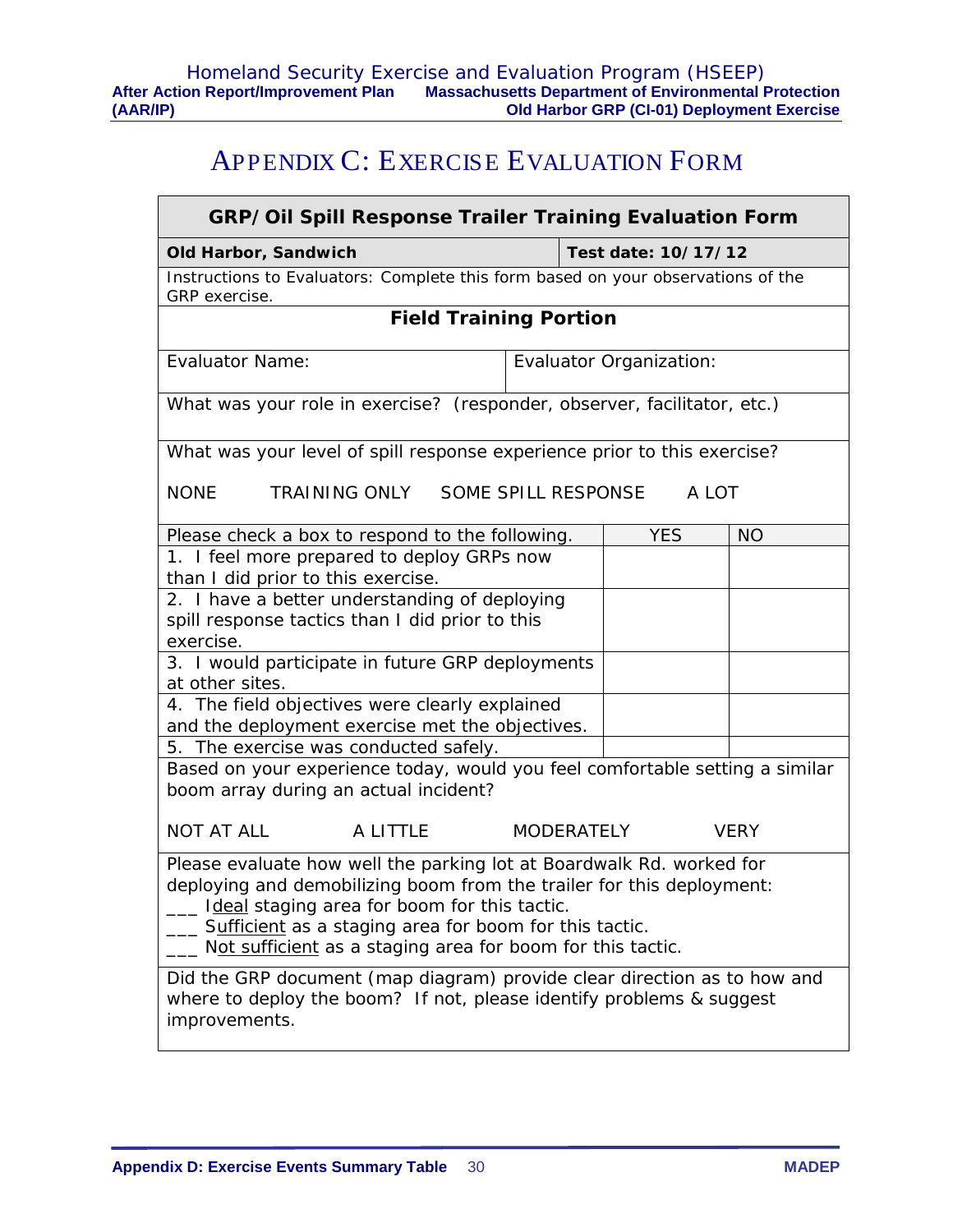## APPENDIX C: EXERCISE EVALUATION FORM

| <b>GRP/Oil Spill Response Trailer Training Evaluation Form</b>                                                                                                                                                                                                                                                        |                                                  |                                |             |  |  |
|-----------------------------------------------------------------------------------------------------------------------------------------------------------------------------------------------------------------------------------------------------------------------------------------------------------------------|--------------------------------------------------|--------------------------------|-------------|--|--|
| Old Harbor, Sandwich                                                                                                                                                                                                                                                                                                  |                                                  | Test date: 10/17/12            |             |  |  |
| Instructions to Evaluators: Complete this form based on your observations of the<br>GRP exercise.                                                                                                                                                                                                                     |                                                  |                                |             |  |  |
| <b>Field Training Portion</b>                                                                                                                                                                                                                                                                                         |                                                  |                                |             |  |  |
| <b>Evaluator Name:</b>                                                                                                                                                                                                                                                                                                |                                                  | <b>Evaluator Organization:</b> |             |  |  |
| What was your role in exercise? (responder, observer, facilitator, etc.)                                                                                                                                                                                                                                              |                                                  |                                |             |  |  |
| What was your level of spill response experience prior to this exercise?                                                                                                                                                                                                                                              |                                                  |                                |             |  |  |
| <b>NONE</b><br>TRAINING ONLY                                                                                                                                                                                                                                                                                          | SOME SPILL RESPONSE                              | A LOT                          |             |  |  |
| Please check a box to respond to the following.                                                                                                                                                                                                                                                                       |                                                  | <b>YES</b>                     | <b>NO</b>   |  |  |
| 1. I feel more prepared to deploy GRPs now<br>than I did prior to this exercise.                                                                                                                                                                                                                                      |                                                  |                                |             |  |  |
| 2. I have a better understanding of deploying<br>spill response tactics than I did prior to this                                                                                                                                                                                                                      |                                                  |                                |             |  |  |
| exercise.                                                                                                                                                                                                                                                                                                             |                                                  |                                |             |  |  |
| at other sites.                                                                                                                                                                                                                                                                                                       | 3. I would participate in future GRP deployments |                                |             |  |  |
| 4. The field objectives were clearly explained<br>and the deployment exercise met the objectives.                                                                                                                                                                                                                     |                                                  |                                |             |  |  |
| 5. The exercise was conducted safely.                                                                                                                                                                                                                                                                                 |                                                  |                                |             |  |  |
| Based on your experience today, would you feel comfortable setting a similar<br>boom array during an actual incident?                                                                                                                                                                                                 |                                                  |                                |             |  |  |
| NOT AT ALL<br>A LITTLE                                                                                                                                                                                                                                                                                                | MODERATELY                                       |                                | <b>VERY</b> |  |  |
| Please evaluate how well the parking lot at Boardwalk Rd. worked for<br>deploying and demobilizing boom from the trailer for this deployment:<br>Ideal staging area for boom for this tactic.<br>Sufficient as a staging area for boom for this tactic.<br>Not sufficient as a staging area for boom for this tactic. |                                                  |                                |             |  |  |
| Did the GRP document (map diagram) provide clear direction as to how and<br>where to deploy the boom? If not, please identify problems & suggest<br>improvements.                                                                                                                                                     |                                                  |                                |             |  |  |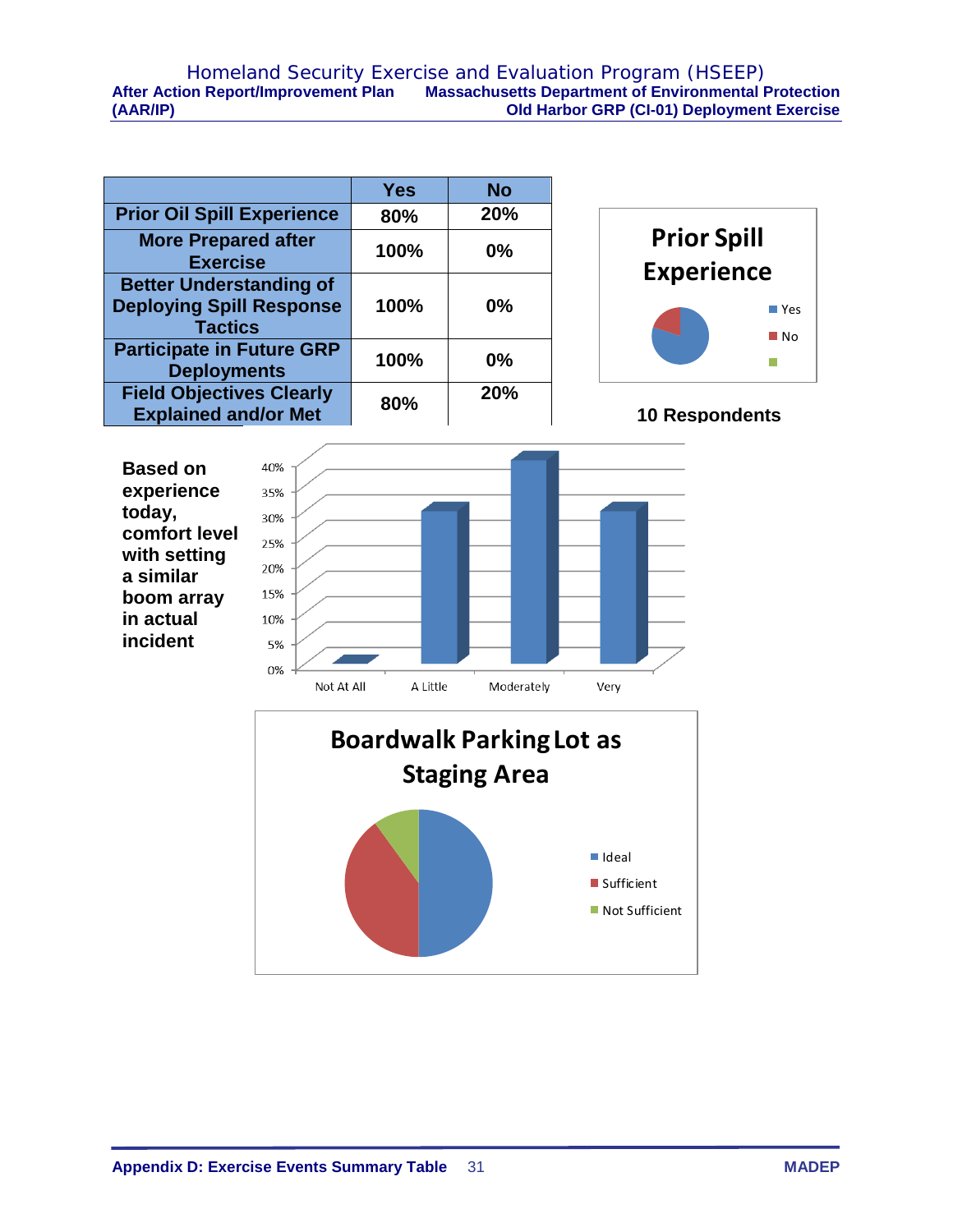|                                                                                     | Yes  | <b>No</b> |
|-------------------------------------------------------------------------------------|------|-----------|
| <b>Prior Oil Spill Experience</b>                                                   | 80%  | 20%       |
| <b>More Prepared after</b><br><b>Exercise</b>                                       | 100% | 0%        |
| <b>Better Understanding of</b><br><b>Deploying Spill Response</b><br><b>Tactics</b> | 100% | 0%        |
| <b>Participate in Future GRP</b><br><b>Deployments</b>                              | 100% | 0%        |
| <b>Field Objectives Clearly</b><br><b>Explained and/or Met</b>                      | 80%  | 20%       |



**10 Respondents**





**Appendix D: Exercise Events Summary Table** 31 **MADEP**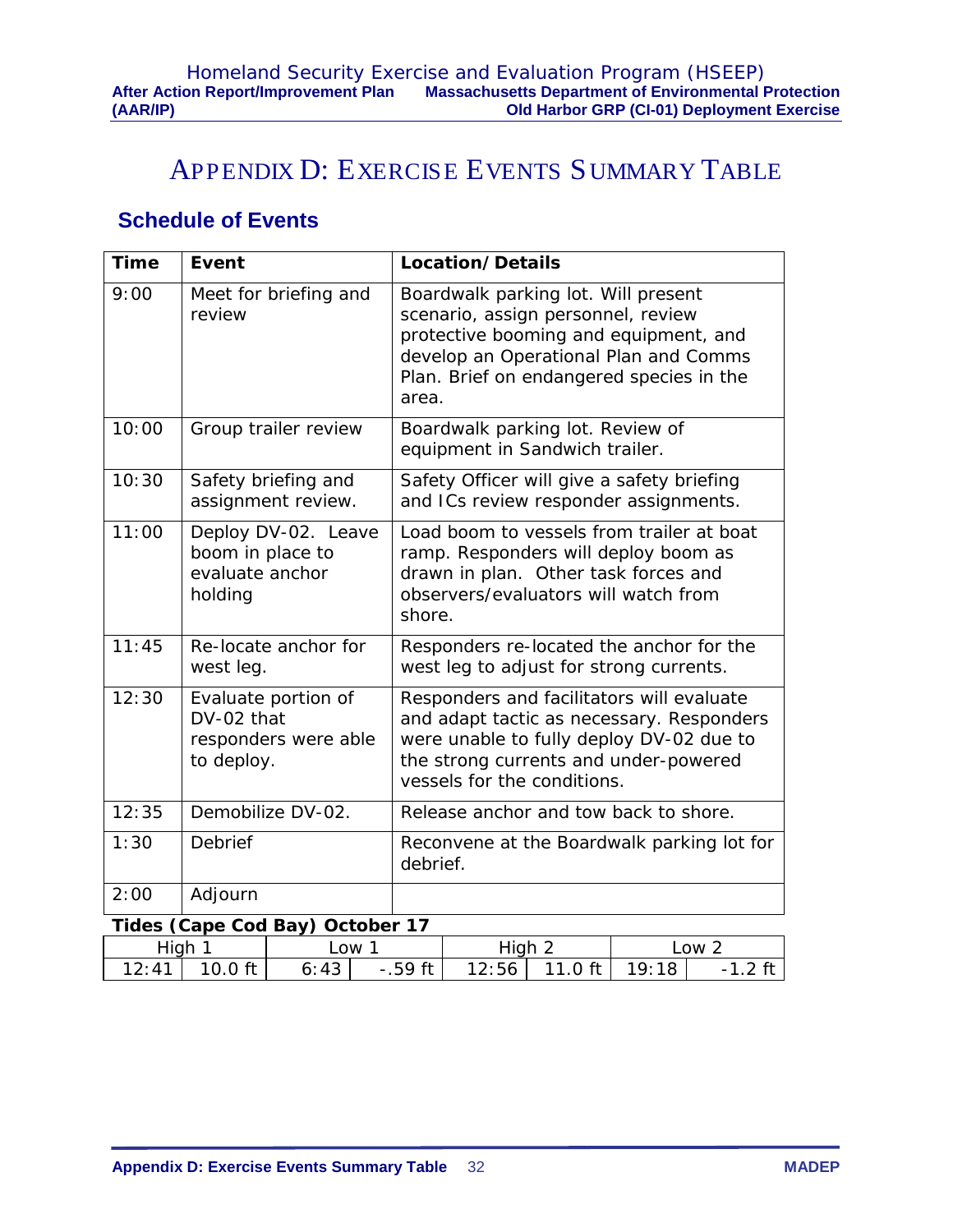### APPENDIX D: EXERCISE EVENTS SUMMARY TABLE

### **Schedule of Events**

| <b>Time</b> | Event                                                                   | Location/Details                                                                                                                                                                                                 |
|-------------|-------------------------------------------------------------------------|------------------------------------------------------------------------------------------------------------------------------------------------------------------------------------------------------------------|
| 9:00        | Meet for briefing and<br>review                                         | Boardwalk parking lot. Will present<br>scenario, assign personnel, review<br>protective booming and equipment, and<br>develop an Operational Plan and Comms<br>Plan. Brief on endangered species in the<br>area. |
| 10:00       | Group trailer review                                                    | Boardwalk parking lot. Review of<br>equipment in Sandwich trailer.                                                                                                                                               |
| 10:30       | Safety briefing and<br>assignment review.                               | Safety Officer will give a safety briefing<br>and ICs review responder assignments.                                                                                                                              |
| 11:00       | Deploy DV-02. Leave<br>boom in place to<br>evaluate anchor<br>holding   | Load boom to vessels from trailer at boat<br>ramp. Responders will deploy boom as<br>drawn in plan. Other task forces and<br>observers/evaluators will watch from<br>shore.                                      |
| 11:45       | Re-locate anchor for<br>west leg.                                       | Responders re-located the anchor for the<br>west leg to adjust for strong currents.                                                                                                                              |
| 12:30       | Evaluate portion of<br>DV-02 that<br>responders were able<br>to deploy. | Responders and facilitators will evaluate<br>and adapt tactic as necessary. Responders<br>were unable to fully deploy DV-02 due to<br>the strong currents and under-powered<br>vessels for the conditions.       |
| 12:35       | Demobilize DV-02.                                                       | Release anchor and tow back to shore.                                                                                                                                                                            |
| 1:30        | Debrief                                                                 | Reconvene at the Boardwalk parking lot for<br>debrief.                                                                                                                                                           |
| 2:00        | Adjourn                                                                 |                                                                                                                                                                                                                  |
|             | Tides (Cape Cod Bay) October 17                                         |                                                                                                                                                                                                                  |

|      | $11903$ (Uapc UOG Day) October 17 |      |         |        |           |       |     |
|------|-----------------------------------|------|---------|--------|-----------|-------|-----|
| High |                                   | ∟OW  |         | High ^ |           |       | ∟OW |
|      | $10.0$ ft                         | 6:43 | -.59 ft | 12:56  | $\cap$ ft | 19:18 |     |